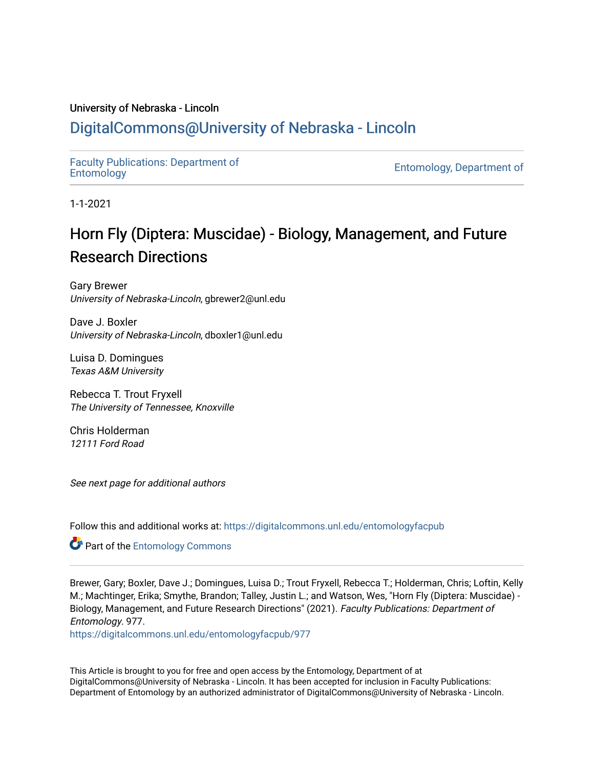# University of Nebraska - Lincoln

# [DigitalCommons@University of Nebraska - Lincoln](https://digitalcommons.unl.edu/)

[Faculty Publications: Department of](https://digitalcommons.unl.edu/entomologyfacpub) 

[Entomology](https://digitalcommons.unl.edu/entomologyfacpub), Department of

1-1-2021

# Horn Fly (Diptera: Muscidae) - Biology, Management, and Future Research Directions

Gary Brewer University of Nebraska-Lincoln, gbrewer2@unl.edu

Dave J. Boxler University of Nebraska-Lincoln, dboxler1@unl.edu

Luisa D. Domingues Texas A&M University

Rebecca T. Trout Fryxell The University of Tennessee, Knoxville

Chris Holderman 12111 Ford Road

See next page for additional authors

Follow this and additional works at: [https://digitalcommons.unl.edu/entomologyfacpub](https://digitalcommons.unl.edu/entomologyfacpub?utm_source=digitalcommons.unl.edu%2Fentomologyfacpub%2F977&utm_medium=PDF&utm_campaign=PDFCoverPages)

**Part of the Entomology Commons** 

Brewer, Gary; Boxler, Dave J.; Domingues, Luisa D.; Trout Fryxell, Rebecca T.; Holderman, Chris; Loftin, Kelly M.; Machtinger, Erika; Smythe, Brandon; Talley, Justin L.; and Watson, Wes, "Horn Fly (Diptera: Muscidae) - Biology, Management, and Future Research Directions" (2021). Faculty Publications: Department of Entomology. 977.

[https://digitalcommons.unl.edu/entomologyfacpub/977](https://digitalcommons.unl.edu/entomologyfacpub/977?utm_source=digitalcommons.unl.edu%2Fentomologyfacpub%2F977&utm_medium=PDF&utm_campaign=PDFCoverPages)

This Article is brought to you for free and open access by the Entomology, Department of at DigitalCommons@University of Nebraska - Lincoln. It has been accepted for inclusion in Faculty Publications: Department of Entomology by an authorized administrator of DigitalCommons@University of Nebraska - Lincoln.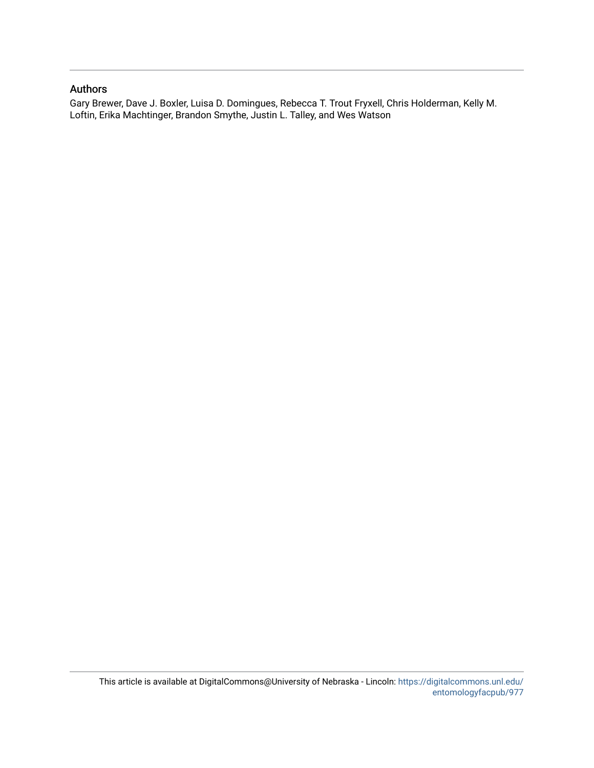# Authors

Gary Brewer, Dave J. Boxler, Luisa D. Domingues, Rebecca T. Trout Fryxell, Chris Holderman, Kelly M. Loftin, Erika Machtinger, Brandon Smythe, Justin L. Talley, and Wes Watson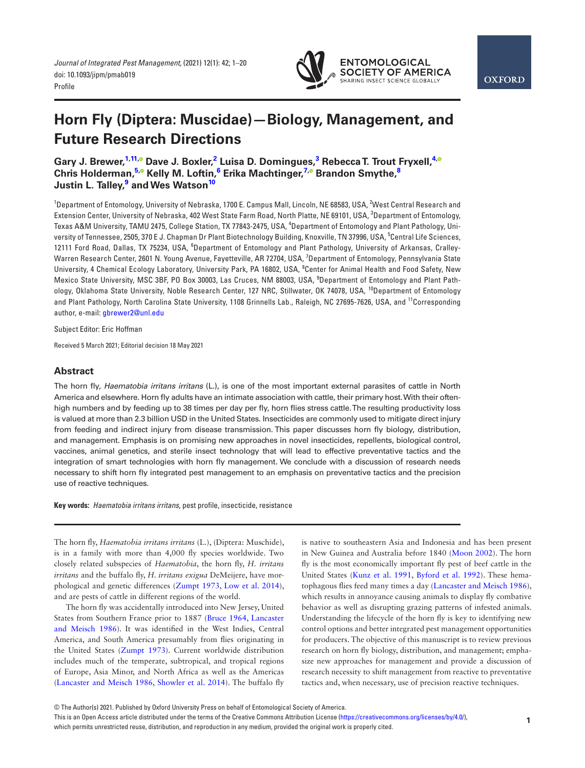

# **Horn Fly (Diptera: Muscidae)—Biology, Management, and Future Research Directions**

**Gary J. Brewer[,1](#page-2-0),[11](#page-2-1)[,](https://orcid.org/0000-0002-9176-6460) Dave J. Boxler[,2](#page-2-2) Luisa D. Domingues[,3](#page-2-3) Rebecca T. Trout Fryxell,[4](#page-2-4)[,](https://orcid.org/0000-0003-2133-0220) Chris Holderman,[5](#page-2-5)[,](https://orcid.org/0000-0003-4073-1994) Kelly M. Loftin,[6](#page-2-6) Erika Machtinger[,7](#page-2-7)[,](https://orcid.org/0000-0002-6492-0901) Brandon Smythe[,8](#page-2-8) Justin L. Talley[,9](#page-2-9) and Wes Watso[n10](#page-2-10)**

<span id="page-2-7"></span><span id="page-2-6"></span><span id="page-2-5"></span><span id="page-2-4"></span><span id="page-2-3"></span><span id="page-2-2"></span><span id="page-2-0"></span>1 Department of Entomology, University of Nebraska, 1700 E. Campus Mall, Lincoln, NE 68583, USA, 2 West Central Research and Extension Center, University of Nebraska, 402 West State Farm Road, North Platte, NE 69101, USA, <sup>3</sup>Department of Entomology, Texas A&M University, TAMU 2475, College Station, TX 77843-2475, USA, <sup>4</sup>Department of Entomology and Plant Pathology, University of Tennessee, 2505, 370 E J. Chapman Dr Plant Biotechnology Building, Knoxville, TN 37996, USA, <sup>5</sup>Central Life Sciences, 12111 Ford Road, Dallas, TX 75234, USA, <sup>6</sup>Department of Entomology and Plant Pathology, University of Arkansas, Cralley-Warren Research Center, 2601 N. Young Avenue, Fayetteville, AR 72704, USA, <sup>7</sup>Department of Entomology, Pennsylvania State University, 4 Chemical Ecology Laboratory, University Park, PA 16802, USA, <sup>8</sup>Center for Animal Health and Food Safety, New Mexico State University, MSC 3BF, PO Box 30003, Las Cruces, NM 88003, USA, <sup>9</sup> Department of Entomology and Plant Pathology, Oklahoma State University, Noble Research Center, 127 NRC, Stillwater, OK 74078, USA, <sup>10</sup>Department of Entomology and Plant Pathology, North Carolina State University, 1108 Grinnells Lab., Raleigh, NC 27695-7626, USA, and <sup>11</sup>Corresponding author, e-mail: [gbrewer2@unl.edu](mailto:gbrewer2@unl.edu?subject=)

<span id="page-2-10"></span><span id="page-2-9"></span><span id="page-2-8"></span><span id="page-2-1"></span>Subject Editor: Eric Hoffman

Received 5 March 2021; Editorial decision 18 May 2021

# **Abstract**

The horn fly, *Haematobia irritans irritans* (L.), is one of the most important external parasites of cattle in North America and elsewhere. Horn fly adults have an intimate association with cattle, their primary host. With their oftenhigh numbers and by feeding up to 38 times per day per fly, horn flies stress cattle. The resulting productivity loss is valued at more than 2.3 billion USD in the United States. Insecticides are commonly used to mitigate direct injury from feeding and indirect injury from disease transmission. This paper discusses horn fly biology, distribution, and management. Emphasis is on promising new approaches in novel insecticides, repellents, biological control, vaccines, animal genetics, and sterile insect technology that will lead to effective preventative tactics and the integration of smart technologies with horn fly management. We conclude with a discussion of research needs necessary to shift horn fly integrated pest management to an emphasis on preventative tactics and the precision use of reactive techniques.

**Key words:** *Haematobia irritans irritans*, pest profile, insecticide, resistance

The horn fly, *Haematobia irritans irritans* (L.), (Diptera: Muschide), is in a family with more than 4,000 fly species worldwide. Two closely related subspecies of *Haematobia*, the horn fly, *H. irritans irritans* and the buffalo fly, *H. irritans exigua* DeMeijere, have morphological and genetic differences ([Zumpt 1973,](#page-21-0) [Low et al. 2014\)](#page-17-0), and are pests of cattle in different regions of the world.

The horn fly was accidentally introduced into New Jersey, United States from Southern France prior to 1887 ([Bruce 1964](#page-14-0), [Lancaster](#page-17-1) [and Meisch 1986\)](#page-17-1). It was identified in the West Indies, Central America, and South America presumably from flies originating in the United States ([Zumpt 1973\)](#page-21-0). Current worldwide distribution includes much of the temperate, subtropical, and tropical regions of Europe, Asia Minor, and North Africa as well as the Americas ([Lancaster and Meisch 1986](#page-17-1), [Showler et al. 2014](#page-19-0)). The buffalo fly

is native to southeastern Asia and Indonesia and has been present in New Guinea and Australia before 1840 ([Moon 2002\)](#page-18-0). The horn fly is the most economically important fly pest of beef cattle in the United States [\(Kunz et al. 1991,](#page-17-2) [Byford et al. 1992](#page-14-1)). These hematophagous flies feed many times a day [\(Lancaster and Meisch 1986\)](#page-17-1), which results in annoyance causing animals to display fly combative behavior as well as disrupting grazing patterns of infested animals. Understanding the lifecycle of the horn fly is key to identifying new control options and better integrated pest management opportunities for producers. The objective of this manuscript is to review previous research on horn fly biology, distribution, and management; emphasize new approaches for management and provide a discussion of research necessity to shift management from reactive to preventative tactics and, when necessary, use of precision reactive techniques.

This is an Open Access article distributed under the terms of the Creative Commons Attribution License ([https://creativecommons.org/licenses/by/4.0/\)](https://creativecommons.org/licenses/by/4.0/),

which permits unrestricted reuse, distribution, and reproduction in any medium, provided the original work is properly cited.

<sup>©</sup> The Author(s) 2021. Published by Oxford University Press on behalf of Entomological Society of America.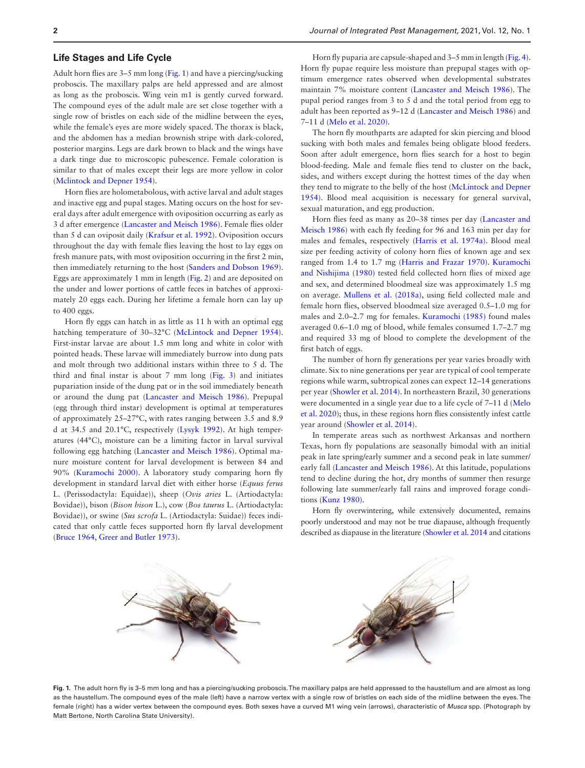# **Life Stages and Life Cycle**

Adult horn flies are 3–5 mm long ([Fig. 1](#page-3-0)) and have a piercing/sucking proboscis. The maxillary palps are held appressed and are almost as long as the proboscis. Wing vein m1 is gently curved forward. The compound eyes of the adult male are set close together with a single row of bristles on each side of the midline between the eyes, while the female's eyes are more widely spaced. The thorax is black, and the abdomen has a median brownish stripe with dark-colored, posterior margins. Legs are dark brown to black and the wings have a dark tinge due to microscopic pubescence. Female coloration is similar to that of males except their legs are more yellow in color ([Mclintock and Depner 1954](#page-18-1)).

Horn flies are holometabolous, with active larval and adult stages and inactive egg and pupal stages. Mating occurs on the host for several days after adult emergence with oviposition occurring as early as 3 d after emergence [\(Lancaster and Meisch 1986\)](#page-17-1). Female flies older than 5 d can oviposit daily [\(Krafsur et al. 1992](#page-17-3)). Oviposition occurs throughout the day with female flies leaving the host to lay eggs on fresh manure pats, with most oviposition occurring in the first 2 min, then immediately returning to the host [\(Sanders and Dobson 1969\)](#page-19-1). Eggs are approximately 1 mm in length [\(Fig. 2](#page-4-0)) and are deposited on the under and lower portions of cattle feces in batches of approximately 20 eggs each. During her lifetime a female horn can lay up to 400 eggs.

Horn fly eggs can hatch in as little as 11 h with an optimal egg hatching temperature of 30–32°C [\(McLintock and Depner 1954\)](#page-18-1). First-instar larvae are about 1.5 mm long and white in color with pointed heads. These larvae will immediately burrow into dung pats and molt through two additional instars within three to 5 d. The third and final instar is about  $7 \text{ mm}$  long [\(Fig. 3](#page-4-1)) and initiates pupariation inside of the dung pat or in the soil immediately beneath or around the dung pat [\(Lancaster and Meisch 1986\)](#page-17-1). Prepupal (egg through third instar) development is optimal at temperatures of approximately 25–27°C, with rates ranging between 3.5 and 8.9 d at 34.5 and 20.1°C, respectively ([Lysyk 1992](#page-17-4)). At high temperatures (44°C), moisture can be a limiting factor in larval survival following egg hatching [\(Lancaster and Meisch 1986](#page-17-1)). Optimal manure moisture content for larval development is between 84 and 90% ([Kuramochi 2000\)](#page-17-5). A laboratory study comparing horn fly development in standard larval diet with either horse (*Equus ferus* L. (Perissodactyla: Equidae)), sheep (*Ovis aries* L. (Artiodactyla: Bovidae)), bison (*Bison bison* L.), cow (*Bos taurus* L. (Artiodactyla: Bovidae)), or swine (*Sus scrofa* L. (Artiodactyla: Suidae)) feces indicated that only cattle feces supported horn fly larval development ([Bruce 1964](#page-14-0), [Greer and Butler 1973](#page-16-0)).

Horn fly puparia are capsule-shaped and 3–5 mm in length [\(Fig. 4\)](#page-4-2). Horn fly pupae require less moisture than prepupal stages with optimum emergence rates observed when developmental substrates maintain 7% moisture content ([Lancaster and Meisch 1986](#page-17-1)). The pupal period ranges from 3 to 5 d and the total period from egg to adult has been reported as 9–12 d [\(Lancaster and Meisch 1986\)](#page-17-1) and 7–11 d [\(Melo et al. 2020](#page-18-2)).

The horn fly mouthparts are adapted for skin piercing and blood sucking with both males and females being obligate blood feeders. Soon after adult emergence, horn flies search for a host to begin blood-feeding. Male and female flies tend to cluster on the back, sides, and withers except during the hottest times of the day when they tend to migrate to the belly of the host ([McLintock and Depner](#page-18-1) [1954\)](#page-18-1). Blood meal acquisition is necessary for general survival, sexual maturation, and egg production.

Horn flies feed as many as 20–38 times per day [\(Lancaster and](#page-17-1) [Meisch 1986](#page-17-1)) with each fly feeding for 96 and 163 min per day for males and females, respectively ([Harris et al. 1974a\)](#page-16-1). Blood meal size per feeding activity of colony horn flies of known age and sex ranged from 1.4 to 1.7 mg ([Harris and Frazar 1970\)](#page-16-2). [Kuramochi](#page-17-6) [and Nishijima \(1980\)](#page-17-6) tested field collected horn flies of mixed age and sex, and determined bloodmeal size was approximately 1.5 mg on average. [Mullens et al. \(2018a\)](#page-18-3), using field collected male and female horn flies, observed bloodmeal size averaged 0.5–1.0 mg for males and 2.0–2.7 mg for females. [Kuramochi \(1985\)](#page-17-7) found males averaged 0.6–1.0 mg of blood, while females consumed 1.7–2.7 mg and required 33 mg of blood to complete the development of the first batch of eggs.

The number of horn fly generations per year varies broadly with climate. Six to nine generations per year are typical of cool temperate regions while warm, subtropical zones can expect 12–14 generations per year ([Showler et al. 2014\)](#page-19-0). In northeastern Brazil, 30 generations were documented in a single year due to a life cycle of 7–11 d ([Melo](#page-18-2) [et al. 2020\)](#page-18-2); thus, in these regions horn flies consistently infest cattle year around ([Showler et al. 2014\)](#page-19-0).

In temperate areas such as northwest Arkansas and northern Texas, horn fly populations are seasonally bimodal with an initial peak in late spring/early summer and a second peak in late summer/ early fall [\(Lancaster and Meisch 1986\)](#page-17-1). At this latitude, populations tend to decline during the hot, dry months of summer then resurge following late summer/early fall rains and improved forage conditions ([Kunz 1980](#page-17-8)).

Horn fly overwintering, while extensively documented, remains poorly understood and may not be true diapause, although frequently described as diapause in the literature [\(Showler et al. 2014](#page-19-0) and citations

<span id="page-3-0"></span>

Fig. 1. The adult horn fly is 3–5 mm long and has a piercing/sucking proboscis. The maxillary palps are held appressed to the haustellum and are almost as long as the haustellum. The compound eyes of the male (left) have a narrow vertex with a single row of bristles on each side of the midline between the eyes. The female (right) has a wider vertex between the compound eyes. Both sexes have a curved M1 wing vein (arrows), characteristic of *Musca* spp. (Photograph by Matt Bertone, North Carolina State University).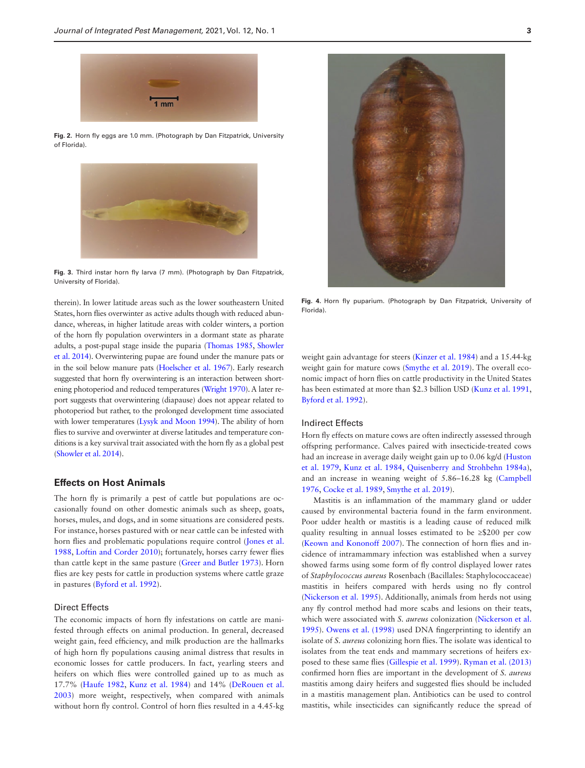<span id="page-4-0"></span>**Fig. 2.** Horn fly eggs are 1.0 mm. (Photograph by Dan Fitzpatrick, University of Florida).



<span id="page-4-1"></span>**Fig. 3.** Third instar horn fly larva (7 mm). (Photograph by Dan Fitzpatrick, University of Florida).

therein). In lower latitude areas such as the lower southeastern United States, horn flies overwinter as active adults though with reduced abundance, whereas, in higher latitude areas with colder winters, a portion of the horn fly population overwinters in a dormant state as pharate adults, a post-pupal stage inside the puparia [\(Thomas 1985](#page-20-0), [Showler](#page-19-0) [et al. 2014](#page-19-0)). Overwintering pupae are found under the manure pats or in the soil below manure pats ([Hoelscher et al. 1967](#page-16-3)). Early research suggested that horn fly overwintering is an interaction between shortening photoperiod and reduced temperatures ([Wright 1970\)](#page-20-1). A later report suggests that overwintering (diapause) does not appear related to photoperiod but rather, to the prolonged development time associated with lower temperatures ([Lysyk and Moon 1994\)](#page-17-9). The ability of horn flies to survive and overwinter at diverse latitudes and temperature conditions is a key survival trait associated with the horn fly as a global pest ([Showler et al. 2014](#page-19-0)).

# **Effects on Host Animals**

The horn fly is primarily a pest of cattle but populations are occasionally found on other domestic animals such as sheep, goats, horses, mules, and dogs, and in some situations are considered pests. For instance, horses pastured with or near cattle can be infested with horn flies and problematic populations require control ([Jones et al.](#page-16-4) [1988,](#page-16-4) [Loftin and Corder 2010\)](#page-17-10); fortunately, horses carry fewer flies than cattle kept in the same pasture ([Greer and Butler 1973](#page-16-0)). Horn flies are key pests for cattle in production systems where cattle graze in pastures [\(Byford et al. 1992\)](#page-14-1).

# Direct Effects

The economic impacts of horn fly infestations on cattle are manifested through effects on animal production. In general, decreased weight gain, feed efficiency, and milk production are the hallmarks of high horn fly populations causing animal distress that results in economic losses for cattle producers. In fact, yearling steers and heifers on which flies were controlled gained up to as much as 17.7% [\(Haufe 1982,](#page-16-5) [Kunz et al. 1984\)](#page-17-11) and 14% [\(DeRouen et al.](#page-15-0) [2003\)](#page-15-0) more weight, respectively, when compared with animals without horn fly control. Control of horn flies resulted in a 4.45-kg



<span id="page-4-2"></span>**Fig. 4.** Horn fly puparium. (Photograph by Dan Fitzpatrick, University of Florida).

weight gain advantage for steers ([Kinzer et al. 1984\)](#page-17-12) and a 15.44-kg weight gain for mature cows ([Smythe et al. 2019\)](#page-20-2). The overall economic impact of horn flies on cattle productivity in the United States has been estimated at more than \$2.3 billion USD ([Kunz et al. 1991](#page-17-2), [Byford et al. 1992](#page-14-1)).

### Indirect Effects

Horn fly effects on mature cows are often indirectly assessed through offspring performance. Calves paired with insecticide-treated cows had an increase in average daily weight gain up to 0.06 kg/d [\(Huston](#page-16-6) [et al. 1979](#page-16-6), [Kunz et al. 1984,](#page-17-11) [Quisenberry and Strohbehn 1984a](#page-19-2)), and an increase in weaning weight of 5.86–16.28 kg ([Campbell](#page-14-2) [1976,](#page-14-2) [Cocke et al. 1989,](#page-15-1) [Smythe et al. 2019\)](#page-20-2).

Mastitis is an inflammation of the mammary gland or udder caused by environmental bacteria found in the farm environment. Poor udder health or mastitis is a leading cause of reduced milk quality resulting in annual losses estimated to be ≥\$200 per cow ([Keown and Kononoff 2007\)](#page-17-13). The connection of horn flies and incidence of intramammary infection was established when a survey showed farms using some form of fly control displayed lower rates of *Staphylococcus aureus* Rosenbach (Bacillales: Staphylococcaceae) mastitis in heifers compared with herds using no fly control ([Nickerson et al. 1995](#page-18-4)). Additionally, animals from herds not using any fly control method had more scabs and lesions on their teats, which were associated with *S. aureus* colonization [\(Nickerson et al.](#page-18-4) [1995\)](#page-18-4). [Owens et al. \(1998\)](#page-19-3) used DNA fingerprinting to identify an isolate of *S. aureus* colonizing horn flies. The isolate was identical to isolates from the teat ends and mammary secretions of heifers exposed to these same flies [\(Gillespie et al. 1999](#page-16-7)). [Ryman et al. \(2013\)](#page-19-4) confirmed horn flies are important in the development of *S. aureus* mastitis among dairy heifers and suggested flies should be included in a mastitis management plan. Antibiotics can be used to control mastitis, while insecticides can significantly reduce the spread of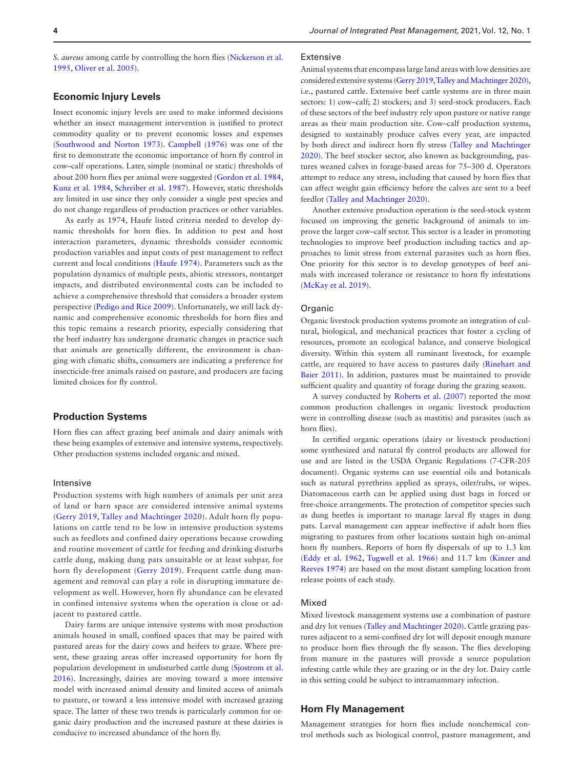*S. aureus* among cattle by controlling the horn flies ([Nickerson et al.](#page-18-4) [1995,](#page-18-4) [Oliver et al. 2005\)](#page-18-5).

# **Economic Injury Levels**

Insect economic injury levels are used to make informed decisions whether an insect management intervention is justified to protect commodity quality or to prevent economic losses and expenses ([Southwood and Norton 1973](#page-20-3)). [Campbell \(1976\)](#page-14-2) was one of the first to demonstrate the economic importance of horn fly control in cow–calf operations. Later, simple (nominal or static) thresholds of about 200 horn flies per animal were suggested ([Gordon et al. 1984](#page-16-8), [Kunz et al. 1984](#page-17-11), [Schreiber et al. 1987](#page-19-5)). However, static thresholds are limited in use since they only consider a single pest species and do not change regardless of production practices or other variables.

As early as 1974, Haufe listed criteria needed to develop dynamic thresholds for horn flies. In addition to pest and host interaction parameters, dynamic thresholds consider economic production variables and input costs of pest management to reflect current and local conditions ([Haufe 1974\)](#page-16-9). Parameters such as the population dynamics of multiple pests, abiotic stressors, nontarget impacts, and distributed environmental costs can be included to achieve a comprehensive threshold that considers a broader system perspective ([Pedigo and Rice 2009](#page-19-6)). Unfortunately, we still lack dynamic and comprehensive economic thresholds for horn flies and this topic remains a research priority, especially considering that the beef industry has undergone dramatic changes in practice such that animals are genetically different, the environment is changing with climatic shifts, consumers are indicating a preference for insecticide-free animals raised on pasture, and producers are facing limited choices for fly control.

### **Production Systems**

Horn flies can affect grazing beef animals and dairy animals with these being examples of extensive and intensive systems, respectively. Other production systems included organic and mixed.

#### Intensive

Production systems with high numbers of animals per unit area of land or barn space are considered intensive animal systems ([Gerry 2019,](#page-16-10) [Talley and Machtinger 2020\)](#page-20-4). Adult horn fly populations on cattle tend to be low in intensive production systems such as feedlots and confined dairy operations because crowding and routine movement of cattle for feeding and drinking disturbs cattle dung, making dung pats unsuitable or at least subpar, for horn fly development [\(Gerry 2019](#page-16-10)). Frequent cattle dung management and removal can play a role in disrupting immature development as well. However, horn fly abundance can be elevated in confined intensive systems when the operation is close or adjacent to pastured cattle.

Dairy farms are unique intensive systems with most production animals housed in small, confined spaces that may be paired with pastured areas for the dairy cows and heifers to graze. Where present, these grazing areas offer increased opportunity for horn fly population development in undisturbed cattle dung [\(Sjostrom et al.](#page-19-7) [2016\)](#page-19-7). Increasingly, dairies are moving toward a more intensive model with increased animal density and limited access of animals to pasture, or toward a less intensive model with increased grazing space. The latter of these two trends is particularly common for organic dairy production and the increased pasture at these dairies is conducive to increased abundance of the horn fly.

# Extensive

Animal systems that encompass large land areas with low densities are considered extensive systems [\(Gerry 2019](#page-16-10), [Talley and Machtinger 2020\)](#page-20-4), i.e., pastured cattle. Extensive beef cattle systems are in three main sectors: 1) cow–calf; 2) stockers; and 3) seed-stock producers. Each of these sectors of the beef industry rely upon pasture or native range areas as their main production site. Cow–calf production systems, designed to sustainably produce calves every year, are impacted by both direct and indirect horn fly stress [\(Talley and Machtinger](#page-20-4) [2020\)](#page-20-4). The beef stocker sector, also known as backgrounding, pastures weaned calves in forage-based areas for 75–300 d. Operators attempt to reduce any stress, including that caused by horn flies that can affect weight gain efficiency before the calves are sent to a beef feedlot ([Talley and Machtinger 2020\)](#page-20-4).

Another extensive production operation is the seed-stock system focused on improving the genetic background of animals to improve the larger cow–calf sector. This sector is a leader in promoting technologies to improve beef production including tactics and approaches to limit stress from external parasites such as horn flies. One priority for this sector is to develop genotypes of beef animals with increased tolerance or resistance to horn fly infestations ([McKay et al. 2019](#page-18-6)).

# **Organic**

Organic livestock production systems promote an integration of cultural, biological, and mechanical practices that foster a cycling of resources, promote an ecological balance, and conserve biological diversity. Within this system all ruminant livestock, for example cattle, are required to have access to pastures daily ([Rinehart and](#page-19-8) [Baier 2011](#page-19-8)). In addition, pastures must be maintained to provide sufficient quality and quantity of forage during the grazing season.

A survey conducted by [Roberts et al. \(2007\)](#page-19-9) reported the most common production challenges in organic livestock production were in controlling disease (such as mastitis) and parasites (such as horn flies).

In certified organic operations (dairy or livestock production) some synthesized and natural fly control products are allowed for use and are listed in the USDA Organic Regulations (7-CFR-205 document). Organic systems can use essential oils and botanicals such as natural pyrethrins applied as sprays, oiler/rubs, or wipes. Diatomaceous earth can be applied using dust bags in forced or free-choice arrangements. The protection of competitor species such as dung beetles is important to manage larval fly stages in dung pats. Larval management can appear ineffective if adult horn flies migrating to pastures from other locations sustain high on-animal horn fly numbers. Reports of horn fly dispersals of up to 1.3 km ([Eddy et al. 1962,](#page-15-2) [Tugwell et al. 1966](#page-20-5)) and 11.7 km [\(Kinzer and](#page-17-14) [Reeves 1974\)](#page-17-14) are based on the most distant sampling location from release points of each study.

#### Mixed

Mixed livestock management systems use a combination of pasture and dry lot venues ([Talley and Machtinger 2020\)](#page-20-4). Cattle grazing pastures adjacent to a semi-confined dry lot will deposit enough manure to produce horn flies through the fly season. The flies developing from manure in the pastures will provide a source population infesting cattle while they are grazing or in the dry lot. Dairy cattle in this setting could be subject to intramammary infection.

# **Horn Fly Management**

Management strategies for horn flies include nonchemical control methods such as biological control, pasture management, and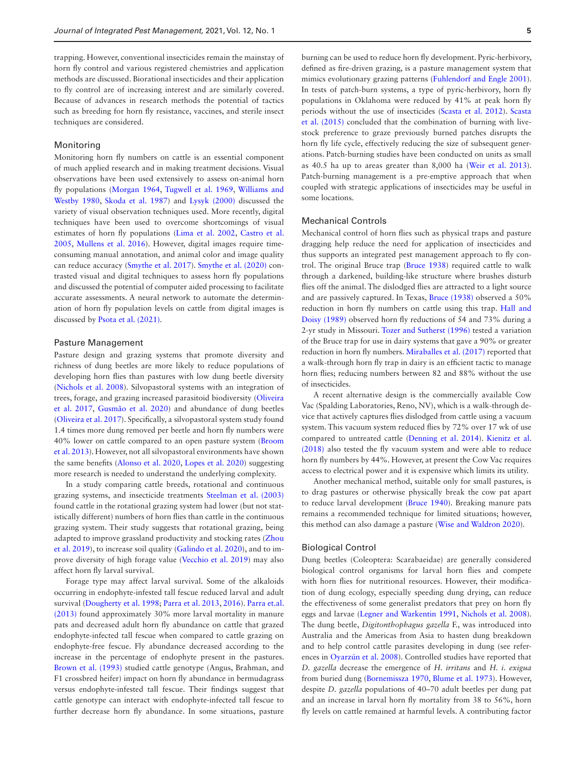trapping. However, conventional insecticides remain the mainstay of horn fly control and various registered chemistries and application methods are discussed. Biorational insecticides and their application to fly control are of increasing interest and are similarly covered. Because of advances in research methods the potential of tactics such as breeding for horn fly resistance, vaccines, and sterile insect techniques are considered.

# Monitoring

Monitoring horn fly numbers on cattle is an essential component of much applied research and in making treatment decisions. Visual observations have been used extensively to assess on-animal horn fly populations ([Morgan 1964,](#page-18-7) [Tugwell et al. 1969](#page-20-6), [Williams and](#page-20-7) [Westby 1980](#page-20-7), [Skoda et al. 1987\)](#page-19-10) and [Lysyk \(2000\)](#page-17-15) discussed the variety of visual observation techniques used. More recently, digital techniques have been used to overcome shortcomings of visual estimates of horn fly populations [\(Lima et al. 2002](#page-17-16), [Castro et al.](#page-14-3) [2005,](#page-14-3) [Mullens et al. 2016](#page-18-8)). However, digital images require timeconsuming manual annotation, and animal color and image quality can reduce accuracy ([Smythe et al. 2017\)](#page-19-11). [Smythe et al. \(2020\)](#page-20-8) contrasted visual and digital techniques to assess horn fly populations and discussed the potential of computer aided processing to facilitate accurate assessments. A neural network to automate the determination of horn fly population levels on cattle from digital images is discussed by [Psota et al. \(2021\).](#page-19-12)

# Pasture Management

Pasture design and grazing systems that promote diversity and richness of dung beetles are more likely to reduce populations of developing horn flies than pastures with low dung beetle diversity ([Nichols et al. 2008\)](#page-18-9). Silvopastoral systems with an integration of trees, forage, and grazing increased parasitoid biodiversity [\(Oliveira](#page-18-10) [et al. 2017](#page-18-10), [Gusmão et al. 2020](#page-16-11)) and abundance of dung beetles ([Oliveira et al. 2017\)](#page-18-10). Specifically, a silvopastoral system study found 1.4 times more dung removed per beetle and horn fly numbers were 40% lower on cattle compared to an open pasture system ([Broom](#page-14-4) [et al. 2013\)](#page-14-4). However, not all silvopastoral environments have shown the same benefits ([Alonso et al. 2020,](#page-13-0) [Lopes et al. 2020](#page-17-17)) suggesting more research is needed to understand the underlying complexity.

In a study comparing cattle breeds, rotational and continuous grazing systems, and insecticide treatments [Steelman et al. \(2003\)](#page-20-9) found cattle in the rotational grazing system had lower (but not statistically different) numbers of horn flies than cattle in the continuous grazing system. Their study suggests that rotational grazing, being adapted to improve grassland productivity and stocking rates ([Zhou](#page-20-10) [et al. 2019\)](#page-20-10), to increase soil quality [\(Galindo et al. 2020\)](#page-15-3), and to improve diversity of high forage value [\(Vecchio et al. 2019\)](#page-20-11) may also affect horn fly larval survival.

Forage type may affect larval survival. Some of the alkaloids occurring in endophyte-infested tall fescue reduced larval and adult survival ([Dougherty et al. 1998](#page-15-4); [Parra et al. 2013](#page-19-13), [2016](#page-19-14)). [Parra et.al.](#page-19-13) [\(2013\)](#page-19-13) found approximately 30% more larval mortality in manure pats and decreased adult horn fly abundance on cattle that grazed endophyte-infected tall fescue when compared to cattle grazing on endophyte-free fescue. Fly abundance decreased according to the increase in the percentage of endophyte present in the pastures. [Brown et al. \(1993\)](#page-14-5) studied cattle genotype (Angus, Brahman, and F1 crossbred heifer) impact on horn fly abundance in bermudagrass versus endophyte-infested tall fescue. Their findings suggest that cattle genotype can interact with endophyte-infected tall fescue to further decrease horn fly abundance. In some situations, pasture

burning can be used to reduce horn fly development. Pyric-herbivory, defined as fire-driven grazing, is a pasture management system that mimics evolutionary grazing patterns ([Fuhlendorf and Engle 2001](#page-15-5)). In tests of patch-burn systems, a type of pyric-herbivory, horn fly populations in Oklahoma were reduced by 41% at peak horn fly periods without the use of insecticides ([Scasta et al. 2012\)](#page-19-15). [Scasta](#page-19-16) [et al. \(2015\)](#page-19-16) concluded that the combination of burning with livestock preference to graze previously burned patches disrupts the horn fly life cycle, effectively reducing the size of subsequent generations. Patch-burning studies have been conducted on units as small as 40.5 ha up to areas greater than 8,000 ha ([Weir et al. 2013](#page-20-12)). Patch-burning management is a pre-emptive approach that when coupled with strategic applications of insecticides may be useful in some locations.

# Mechanical Controls

Mechanical control of horn flies such as physical traps and pasture dragging help reduce the need for application of insecticides and thus supports an integrated pest management approach to fly control. The original Bruce trap ([Bruce 1938](#page-14-6)) required cattle to walk through a darkened, building-like structure where brushes disturb flies off the animal. The dislodged flies are attracted to a light source and are passively captured. In Texas, [Bruce \(1938\)](#page-14-6) observed a 50% reduction in horn fly numbers on cattle using this trap. [Hall and](#page-16-12) [Doisy \(1989\)](#page-16-12) observed horn fly reductions of 54 and 73% during a 2-yr study in Missouri. [Tozer and Sutherst \(1996\)](#page-20-13) tested a variation of the Bruce trap for use in dairy systems that gave a 90% or greater reduction in horn fly numbers. [Miraballes et al. \(2017\)](#page-18-11) reported that a walk-through horn fly trap in dairy is an efficient tactic to manage horn flies; reducing numbers between 82 and 88% without the use of insecticides.

A recent alternative design is the commercially available Cow Vac (Spalding Laboratories, Reno, NV), which is a walk-through device that actively captures flies dislodged from cattle using a vacuum system. This vacuum system reduced flies by 72% over 17 wk of use compared to untreated cattle [\(Denning et al. 2014\)](#page-15-6). [Kienitz et al.](#page-17-18) [\(2018\)](#page-17-18) also tested the fly vacuum system and were able to reduce horn fly numbers by 44%. However, at present the Cow Vac requires access to electrical power and it is expensive which limits its utility.

Another mechanical method, suitable only for small pastures, is to drag pastures or otherwise physically break the cow pat apart to reduce larval development ([Bruce 1940](#page-14-7)). Breaking manure pats remains a recommended technique for limited situations; however, this method can also damage a pasture ([Wise and Waldron 2020\)](#page-20-14).

# Biological Control

Dung beetles (Coleoptera: Scarabaeidae) are generally considered biological control organisms for larval horn flies and compete with horn flies for nutritional resources. However, their modification of dung ecology, especially speeding dung drying, can reduce the effectiveness of some generalist predators that prey on horn fly eggs and larvae [\(Legner and Warkentin 1991,](#page-17-19) [Nichols et al. 2008](#page-18-9)). The dung beetle, *Digitonthophagus gazella* F., was introduced into Australia and the Americas from Asia to hasten dung breakdown and to help control cattle parasites developing in dung (see references in [Oyarzún et al. 2008](#page-19-17)). Controlled studies have reported that *D. gazella* decrease the emergence of *H. irritans* and *H. i. exigua* from buried dung [\(Bornemissza 1970](#page-14-8), [Blume et al. 1973\)](#page-14-9). However, despite *D. gazella* populations of 40–70 adult beetles per dung pat and an increase in larval horn fly mortality from 38 to 56%, horn fly levels on cattle remained at harmful levels. A contributing factor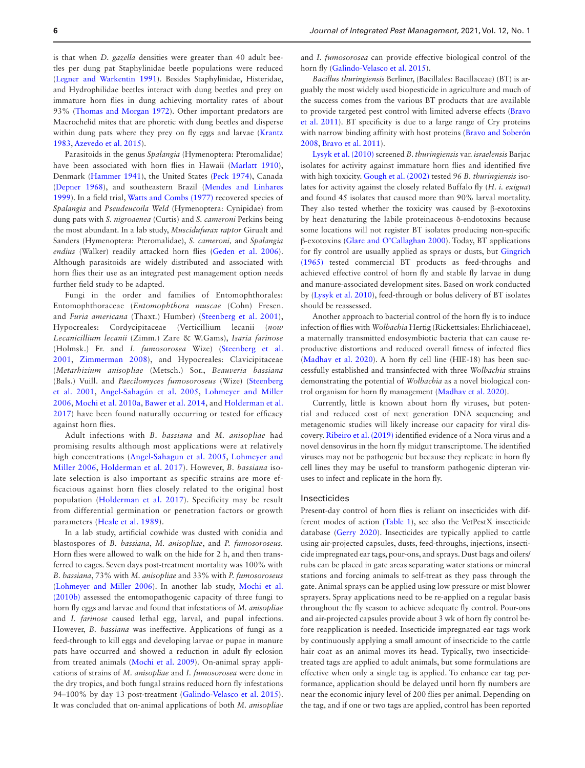is that when *D. gazella* densities were greater than 40 adult beetles per dung pat Staphylinidae beetle populations were reduced ([Legner and Warkentin 1991\)](#page-17-19). Besides Staphylinidae, Histeridae, and Hydrophilidae beetles interact with dung beetles and prey on immature horn flies in dung achieving mortality rates of about 93% ([Thomas and Morgan 1972\)](#page-20-15). Other important predators are Macrochelid mites that are phoretic with dung beetles and disperse within dung pats where they prey on fly eggs and larvae ([Krantz](#page-17-20) [1983,](#page-17-20) [Azevedo et al. 2015\)](#page-14-10).

Parasitoids in the genus *Spalangia* (Hymenoptera: Pteromalidae) have been associated with horn flies in Hawaii ([Marlatt 1910\)](#page-18-12), Denmark [\(Hammer 1941\)](#page-16-13), the United States [\(Peck 1974\)](#page-19-18), Canada ([Depner 1968\)](#page-15-7), and southeastern Brazil [\(Mendes and Linhares](#page-18-13) [1999\)](#page-18-13). In a field trial, [Watts and Combs \(1977\)](#page-20-16) recovered species of *Spalangia* and *Pseudeucoila Weld* (Hymenoptera: Cynipidae) from dung pats with *S. nigroaenea* (Curtis) and *S. cameroni* Perkins being the most abundant. In a lab study, *Muscidufurax raptor* Girualt and Sanders (Hymenoptera: Pteromalidae), *S. cameroni,* and *Spalangia endius* (Walker) readily attacked horn flies ([Geden et al. 2006\)](#page-16-14). Although parasitoids are widely distributed and associated with horn flies their use as an integrated pest management option needs further field study to be adapted.

Fungi in the order and families of Entomophthorales: Entomophthoraceae (*Entomophthora muscae* (Cohn) Fresen. and *Furia americana* (Thaxt.) Humber) [\(Steenberg et al. 2001](#page-20-17)), Hypocreales: Cordycipitaceae (Verticillium lecanii (*now Lecanicillium lecanii* (Zimm.) Zare & W.Gams), *Isaria farinose* (Holmsk.) Fr. and *I. fumosorosea* Wize) ([Steenberg et al.](#page-20-17) [2001,](#page-20-17) [Zimmerman 2008](#page-21-1)), and Hypocreales: Clavicipitaceae (*Metarhizium anisopliae* (Metsch.) Sor., *Beauveria bassiana*  (Bals.) Vuill. and *Paecilomyces fumosoroseus* (Wize) ([Steenberg](#page-20-17) [et al. 2001](#page-20-17), [Angel-Sahagún et al. 2005](#page-14-11), [Lohmeyer and Miller](#page-17-21) [2006,](#page-17-21) [Mochi et al. 2010a](#page-18-14), [Bawer et al. 2014](#page-14-12), and [Holderman et al.](#page-16-15) [2017\)](#page-16-15) have been found naturally occurring or tested for efficacy against horn flies.

Adult infections with *B. bassiana* and *M. anisopliae* had promising results although most applications were at relatively high concentrations ([Angel-Sahagun et al. 2005](#page-14-11), [Lohmeyer and](#page-17-21) [Miller 2006](#page-17-21), [Holderman et al. 2017](#page-16-15)). However, *B. bassiana* isolate selection is also important as specific strains are more efficacious against horn flies closely related to the original host population ([Holderman et al. 2017](#page-16-15)). Specificity may be result from differential germination or penetration factors or growth parameters ([Heale et al. 1989\)](#page-16-16).

In a lab study, artificial cowhide was dusted with conidia and blastospores of *B. bassiana*, *M. anisopliae*, and *P. fumosoroseus.* Horn flies were allowed to walk on the hide for 2 h, and then transferred to cages. Seven days post-treatment mortality was 100% with *B. bassiana*, 73% with *M. anisopliae* and 33% with *P. fumosoroseus* ([Lohmeyer and Miller 2006](#page-17-21)). In another lab study, [Mochi et al.](#page-18-15) [\(2010b\)](#page-18-15) assessed the entomopathogenic capacity of three fungi to horn fly eggs and larvae and found that infestations of *M. anisopliae* and *I. farinose* caused lethal egg, larval, and pupal infections. However, *B. bassiana* was ineffective. Applications of fungi as a feed-through to kill eggs and developing larvae or pupae in manure pats have occurred and showed a reduction in adult fly eclosion from treated animals ([Mochi et al. 2009](#page-18-16)). On-animal spray applications of strains of *M. anisopliae* and *I. fumosorosea* were done in the dry tropics, and both fungal strains reduced horn fly infestations 94–100% by day 13 post-treatment ([Galindo-Velasco et al. 2015\)](#page-15-8). It was concluded that on-animal applications of both *M. anisopliae*

and *I. fumosorosea* can provide effective biological control of the horn fly [\(Galindo-Velasco et al. 2015\)](#page-15-8).

*Bacillus thuringiensis* Berliner, (Bacillales: Bacillaceae) (BT) is arguably the most widely used biopesticide in agriculture and much of the success comes from the various BT products that are available to provide targeted pest control with limited adverse effects ([Bravo](#page-14-13) [et al. 2011\)](#page-14-13). BT specificity is due to a large range of Cry proteins with narrow binding affinity with host proteins ([Bravo and Soberón](#page-14-14) [2008,](#page-14-14) [Bravo et al. 2011](#page-14-13)).

[Lysyk et al. \(2010\)](#page-17-22) screened *B. thuringiensis* var. *israelensis* Barjac isolates for activity against immature horn flies and identified five with high toxicity. [Gough et al. \(2002\)](#page-16-17) tested 96 *B. thuringiensis* isolates for activity against the closely related Buffalo fly (*H. i. exigua*) and found 45 isolates that caused more than 90% larval mortality. They also tested whether the toxicity was caused by β-exotoxins by heat denaturing the labile proteinaceous δ-endotoxins because some locations will not register BT isolates producing non-specific β-exotoxins [\(Glare and O'Callaghan 2000\)](#page-16-18). Today, BT applications for fly control are usually applied as sprays or dusts, but [Gingrich](#page-16-19) [\(1965\)](#page-16-19) tested commercial BT products as feed-throughs and achieved effective control of horn fly and stable fly larvae in dung and manure-associated development sites. Based on work conducted by ([Lysyk et al. 2010\)](#page-17-22), feed-through or bolus delivery of BT isolates should be reassessed.

Another approach to bacterial control of the horn fly is to induce infection of flies with *Wolbachia* Hertig (Rickettsiales: Ehrlichiaceae), a maternally transmitted endosymbiotic bacteria that can cause reproductive distortions and reduced overall fitness of infected flies ([Madhav et al. 2020\)](#page-17-23). A horn fly cell line (HIE-18) has been successfully established and transinfected with three *Wolbachia* strains demonstrating the potential of *Wolbachia* as a novel biological control organism for horn fly management ([Madhav et al. 2020](#page-17-23)).

Currently, little is known about horn fly viruses, but potential and reduced cost of next generation DNA sequencing and metagenomic studies will likely increase our capacity for viral discovery. [Ribeiro et al. \(2019\)](#page-19-19) identified evidence of a Nora virus and a novel densovirus in the horn fly midgut transcriptome. The identified viruses may not be pathogenic but because they replicate in horn fly cell lines they may be useful to transform pathogenic dipteran viruses to infect and replicate in the horn fly.

# Insecticides

Present-day control of horn flies is reliant on insecticides with different modes of action [\(Table 1\)](#page-8-0), see also the VetPestX insecticide database ([Gerry 2020\)](#page-16-20). Insecticides are typically applied to cattle using air-projected capsules, dusts, feed-throughs, injections, insecticide impregnated ear tags, pour-ons, and sprays. Dust bags and oilers/ rubs can be placed in gate areas separating water stations or mineral stations and forcing animals to self-treat as they pass through the gate. Animal sprays can be applied using low pressure or mist blower sprayers. Spray applications need to be re-applied on a regular basis throughout the fly season to achieve adequate fly control. Pour-ons and air-projected capsules provide about 3 wk of horn fly control before reapplication is needed. Insecticide impregnated ear tags work by continuously applying a small amount of insecticide to the cattle hair coat as an animal moves its head. Typically, two insecticidetreated tags are applied to adult animals, but some formulations are effective when only a single tag is applied. To enhance ear tag performance, application should be delayed until horn fly numbers are near the economic injury level of 200 flies per animal. Depending on the tag, and if one or two tags are applied, control has been reported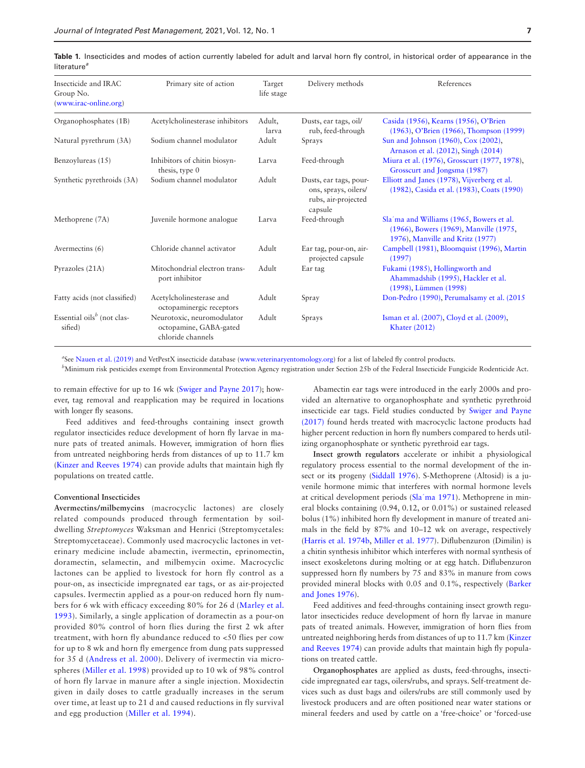| Insecticide and IRAC<br>Group No.<br>(www.irac-online.org) | Primary site of action                                                    | Target<br>life stage | Delivery methods                                                                 | References                                                                                                             |
|------------------------------------------------------------|---------------------------------------------------------------------------|----------------------|----------------------------------------------------------------------------------|------------------------------------------------------------------------------------------------------------------------|
| Organophosphates (1B)                                      | Acetylcholinesterase inhibitors                                           | Adult,<br>larva      | Dusts, ear tags, oil/<br>rub, feed-through                                       | Casida (1956), Kearns (1956), O'Brien<br>(1963), O'Brien (1966), Thompson (1999)                                       |
| Natural pyrethrum (3A)                                     | Sodium channel modulator                                                  | Adult                | Sprays                                                                           | Sun and Johnson (1960), Cox (2002),<br>Arnason et al. (2012), Singh (2014)                                             |
| Benzoylureas (15)                                          | Inhibitors of chitin biosyn-<br>thesis, type 0                            | Larva                | Feed-through                                                                     | Miura et al. (1976), Grosscurt (1977, 1978),<br>Grosscurt and Jongsma (1987)                                           |
| Synthetic pyrethroids (3A)                                 | Sodium channel modulator                                                  | Adult                | Dusts, ear tags, pour-<br>ons, sprays, oilers/<br>rubs, air-projected<br>capsule | Elliott and Janes (1978), Vijverberg et al.<br>(1982), Casida et al. (1983), Coats (1990)                              |
| Methoprene (7A)                                            | Juvenile hormone analogue                                                 | Larva                | Feed-through                                                                     | Sla'ma and Williams (1965, Bowers et al.<br>(1966), Bowers (1969), Manville (1975,<br>1976), Manville and Kritz (1977) |
| Avermectins (6)                                            | Chloride channel activator                                                | Adult                | Ear tag, pour-on, air-<br>projected capsule                                      | Campbell (1981), Bloomquist (1996), Martin<br>(1997)                                                                   |
| Pyrazoles (21A)                                            | Mitochondrial electron trans-<br>port inhibitor                           | Adult                | Ear tag                                                                          | Fukami (1985), Hollingworth and<br>Ahammadshib (1995), Hackler et al.<br>(1998), Lümmen (1998)                         |
| Fatty acids (not classified)                               | Acetylcholinesterase and<br>octopaminergic receptors                      | Adult                | Spray                                                                            | Don-Pedro (1990), Perumalsamy et al. (2015)                                                                            |
| Essential oils $b$ (not clas-<br>sified)                   | Neurotoxic, neuromodulator<br>octopamine, GABA-gated<br>chloride channels | Adult                | Sprays                                                                           | Isman et al. (2007), Cloyd et al. (2009),<br><b>Khater</b> (2012)                                                      |

<span id="page-8-0"></span>Table 1. Insecticides and modes of action currently labeled for adult and larval horn fly control, in historical order of appearance in the literature*<sup>a</sup>*

<sup>a</sup>See [Nauen et al. \(2019\)](#page-18-28) and VetPestX insecticide database [\(www.veterinaryentomology.org](http://www.veterinaryentomology.org)) for a list of labeled fly control products.

*b* Minimum risk pesticides exempt from Environmental Protection Agency registration under Section 25b of the Federal Insecticide Fungicide Rodenticide Act.

to remain effective for up to 16 wk [\(Swiger and Payne 2017\)](#page-20-18); however, tag removal and reapplication may be required in locations with longer fly seasons.

Feed additives and feed-throughs containing insect growth regulator insecticides reduce development of horn fly larvae in manure pats of treated animals. However, immigration of horn flies from untreated neighboring herds from distances of up to 11.7 km ([Kinzer and Reeves 1974\)](#page-17-14) can provide adults that maintain high fly populations on treated cattle.

### **Conventional Insecticides**

**Avermectins/milbemycins** (macrocyclic lactones) are closely related compounds produced through fermentation by soildwelling *Streptomyces* Waksman and Henrici (Streptomycetales: Streptomycetaceae). Commonly used macrocyclic lactones in veterinary medicine include abamectin, ivermectin, eprinomectin, doramectin, selamectin, and milbemycin oxime. Macrocyclic lactones can be applied to livestock for horn fly control as a pour-on, as insecticide impregnated ear tags, or as air-projected capsules. Ivermectin applied as a pour-on reduced horn fly numbers for 6 wk with efficacy exceeding 80% for 26 d ([Marley et al.](#page-18-17) [1993\)](#page-18-17). Similarly, a single application of doramectin as a pour-on provided 80% control of horn flies during the first 2 wk after treatment, with horn fly abundance reduced to <50 flies per cow for up to 8 wk and horn fly emergence from dung pats suppressed for 35 d [\(Andress et al. 2000\)](#page-13-1). Delivery of ivermectin via microspheres ([Miller et al. 1998](#page-18-18)) provided up to 10 wk of 98% control of horn fly larvae in manure after a single injection. Moxidectin given in daily doses to cattle gradually increases in the serum over time, at least up to 21 d and caused reductions in fly survival and egg production ([Miller et al. 1994](#page-18-19)).

Abamectin ear tags were introduced in the early 2000s and provided an alternative to organophosphate and synthetic pyrethroid insecticide ear tags. Field studies conducted by [Swiger and Payne](#page-20-18) [\(2017\)](#page-20-18) found herds treated with macrocyclic lactone products had higher percent reduction in horn fly numbers compared to herds utilizing organophosphate or synthetic pyrethroid ear tags.

**Insect growth regulators** accelerate or inhibit a physiological regulatory process essential to the normal development of the insect or it**s** progeny ([Siddall 1976](#page-19-20)). S-Methoprene (Altosid) is a juvenile hormone mimic that interferes with normal hormone levels at critical development periods (Sla'[ma 1971\)](#page-19-21). Methoprene in mineral blocks containing (0.94, 0.12, or 0.01%) or sustained released bolus (1%) inhibited horn fly development in manure of treated animals in the field by 87% and 10–12 wk on average, respectively ([Harris et al. 1974b](#page-16-21), [Miller et al. 1977](#page-18-20)). Diflubenzuron (Dimilin) is a chitin synthesis inhibitor which interferes with normal synthesis of insect exoskeletons during molting or at egg hatch. Diflubenzuron suppressed horn fly numbers by 75 and 83% in manure from cows provided mineral blocks with 0.05 and 0.1%, respectively ([Barker](#page-14-15) [and Jones 1976\)](#page-14-15).

Feed additives and feed-throughs containing insect growth regulator insecticides reduce development of horn fly larvae in manure pats of treated animals. However, immigration of horn flies from untreated neighboring herds from distances of up to 11.7 km [\(Kinzer](#page-17-14) [and Reeves 1974\)](#page-17-14) can provide adults that maintain high fly populations on treated cattle.

**Organophosphates** are applied as dusts, feed-throughs, insecticide impregnated ear tags, oilers/rubs, and sprays. Self-treatment devices such as dust bags and oilers/rubs are still commonly used by livestock producers and are often positioned near water stations or mineral feeders and used by cattle on a 'free-choice' or 'forced-use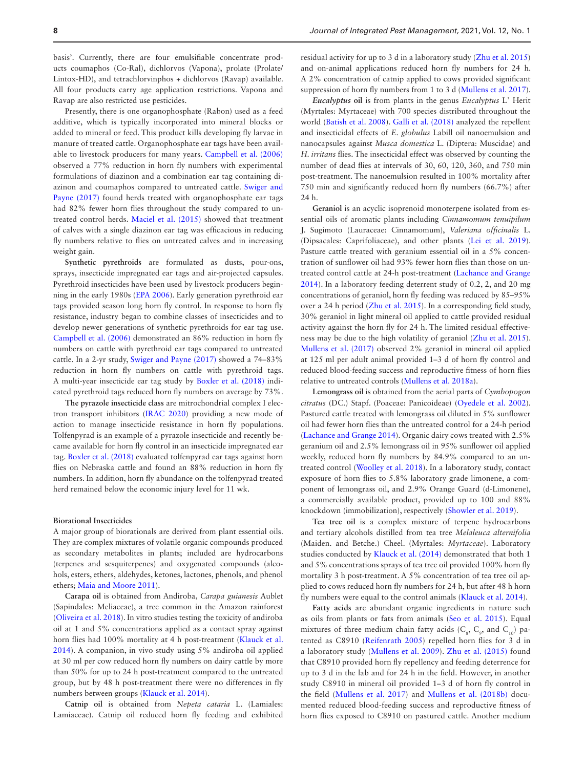basis'. Currently, there are four emulsifiable concentrate products coumaphos (Co-Ral), dichlorvos (Vapona), prolate (Prolate/ Lintox-HD), and tetrachlorvinphos + dichlorvos (Ravap) available. All four products carry age application restrictions. Vapona and Ravap are also restricted use pesticides.

Presently, there is one organophosphate (Rabon) used as a feed additive, which is typically incorporated into mineral blocks or added to mineral or feed. This product kills developing fly larvae in manure of treated cattle. Organophosphate ear tags have been available to livestock producers for many years. [Campbell et al. \(2006\)](#page-14-22) observed a 77% reduction in horn fly numbers with experimental formulations of diazinon and a combination ear tag containing diazinon and coumaphos compared to untreated cattle. [Swiger and](#page-20-18) [Payne \(2017\)](#page-20-18) found herds treated with organophosphate ear tags had 82% fewer horn flies throughout the study compared to untreated control herds. [Maciel et al. \(2015\)](#page-17-27) showed that treatment of calves with a single diazinon ear tag was efficacious in reducing fly numbers relative to flies on untreated calves and in increasing weight gain.

**Synthetic pyrethroids** are formulated as dusts, pour-ons, sprays, insecticide impregnated ear tags and air-projected capsules. Pyrethroid insecticides have been used by livestock producers beginning in the early 1980s [\(EPA 2006\)](#page-15-15). Early generation pyrethroid ear tags provided season long horn fly control. In response to horn fly resistance, industry began to combine classes of insecticides and to develop newer generations of synthetic pyrethroids for ear tag use. [Campbell et al. \(2006\)](#page-14-22) demonstrated an 86% reduction in horn fly numbers on cattle with pyrethroid ear tags compared to untreated cattle. In a 2-yr study, [Swiger and Payne \(2017\)](#page-20-18) showed a 74–83% reduction in horn fly numbers on cattle with pyrethroid tags. A multi-year insecticide ear tag study by [Boxler et al. \(2018\)](#page-14-23) indicated pyrethroid tags reduced horn fly numbers on average by 73%.

**The pyrazole insecticide class** are mitrochondrial complex I electron transport inhibitors [\(IRAC 2020](#page-16-28)) providing a new mode of action to manage insecticide resistance in horn fly populations. Tolfenpyrad is an example of a pyrazole insecticide and recently became available for horn fly control in an insecticide impregnated ear tag. [Boxler et al. \(2018\)](#page-14-23) evaluated tolfenpyrad ear tags against horn flies on Nebraska cattle and found an 88% reduction in horn fly numbers. In addition, horn fly abundance on the tolfenpyrad treated herd remained below the economic injury level for 11 wk.

#### **Biorational Insecticides**

A major group of biorationals are derived from plant essential oils. They are complex mixtures of volatile organic compounds produced as secondary metabolites in plants; included are hydrocarbons (terpenes and sesquiterpenes) and oxygenated compounds (alcohols, esters, ethers, aldehydes, ketones, lactones, phenols, and phenol ethers; [Maia and Moore 2011](#page-17-28)).

**Carapa oil** is obtained from Andiroba, *Carapa guianesis* Aublet (Sapindales: Meliaceae), a tree common in the Amazon rainforest ([Oliveira et al. 2018\)](#page-18-29). In vitro studies testing the toxicity of andiroba oil at 1 and 5% concentrations applied as a contact spray against horn flies had 100% mortality at 4 h post-treatment ([Klauck et al.](#page-17-29) [2014\)](#page-17-29). A companion, in vivo study using 5% andiroba oil applied at 30 ml per cow reduced horn fly numbers on dairy cattle by more than 50% for up to 24 h post-treatment compared to the untreated group, but by 48 h post-treatment there were no differences in fly numbers between groups [\(Klauck et al. 2014\)](#page-17-29).

**Catnip oil** is obtained from *Nepeta cataria* L. (Lamiales: Lamiaceae). Catnip oil reduced horn fly feeding and exhibited residual activity for up to 3 d in a laboratory study ([Zhu et al. 2015\)](#page-20-22) and on-animal applications reduced horn fly numbers for 24 h. A 2% concentration of catnip applied to cows provided significant suppression of horn fly numbers from 1 to 3 d [\(Mullens et al. 2017\)](#page-18-30).

*Eucalyptus* **oil** is from plants in the genus *Eucalyptus* L' Herit (Myrtales: Myrtaceae) with 700 species distributed throughout the world ([Batish et al. 2008\)](#page-14-24). [Galli et al. \(2018\)](#page-15-16) analyzed the repellent and insecticidal effects of *E. globulus* Labill oil nanoemulsion and nanocapsules against *Musca domestica* L. (Diptera: Muscidae) and *H. irritans* flies. The insecticidal effect was observed by counting the number of dead flies at intervals of 30, 60, 120, 360, and 750 min post-treatment. The nanoemulsion resulted in 100% mortality after 750 min and significantly reduced horn fly numbers (66.7%) after 24 h.

**Geraniol** is an acyclic isoprenoid monoterpene isolated from essential oils of aromatic plants including *Cinnamomum tenuipilum* J. Sugimoto (Lauraceae: Cinnamomum), *Valeriana officinalis* L. (Dipsacales: Caprifoliaceae), and other plants [\(Lei et al. 2019\)](#page-17-30). Pasture cattle treated with geranium essential oil in a 5% concentration of sunflower oil had 93% fewer horn flies than those on untreated control cattle at 24-h post-treatment ([Lachance and Grange](#page-17-31) [2014\)](#page-17-31). In a laboratory feeding deterrent study of 0.2, 2, and 20 mg concentrations of geraniol, horn fly feeding was reduced by 85–95% over a 24 h period [\(Zhu et al. 2015\)](#page-20-22). In a corresponding field study, 30% geraniol in light mineral oil applied to cattle provided residual activity against the horn fly for 24 h. The limited residual effectiveness may be due to the high volatility of geraniol [\(Zhu et al. 2015\)](#page-20-22). [Mullens et al. \(2017\)](#page-18-30) observed 2% geraniol in mineral oil applied at 125 ml per adult animal provided 1–3 d of horn fly control and reduced blood-feeding success and reproductive fitness of horn flies relative to untreated controls [\(Mullens et al. 2018a\)](#page-18-3).

**Lemongrass oil** is obtained from the aerial parts of *Cymbopogon citratus* (DC.) Stapf. (Poaceae: Panicoideae) ([Oyedele et al. 2002\)](#page-19-25). Pastured cattle treated with lemongrass oil diluted in 5% sunflower oil had fewer horn flies than the untreated control for a 24-h period ([Lachance and Grange 2014\)](#page-17-31). Organic dairy cows treated with 2.5% geranium oil and 2.5% lemongrass oil in 95% sunflower oil applied weekly, reduced horn fly numbers by 84.9% compared to an untreated control ([Woolley et al. 2018](#page-20-23)). In a laboratory study, contact exposure of horn flies to 5.8% laboratory grade limonene, a component of lemongrass oil, and 2.9% Orange Guard (d-Limonene), a commercially available product, provided up to 100 and 88% knockdown (immobilization), respectively [\(Showler et al. 2019\)](#page-19-26).

**Tea tree oil** is a complex mixture of terpene hydrocarbons and tertiary alcohols distilled from tea tree *Melaleuca alternifolia* (Maiden. and Betche.) Cheel. (Myrtales: *Myrtaceae*). Laboratory studies conducted by [Klauck et al. \(2014\)](#page-17-29) demonstrated that both 1 and 5% concentrations sprays of tea tree oil provided 100% horn fly mortality 3 h post-treatment. A 5% concentration of tea tree oil applied to cows reduced horn fly numbers for 24 h, but after 48 h horn fly numbers were equal to the control animals [\(Klauck et al. 2014\)](#page-17-29).

**Fatty acids** are abundant organic ingredients in nature such as oils from plants or fats from animals [\(Seo et al. 2015\)](#page-19-27). Equal mixtures of three medium chain fatty acids  $(C_8, C_9,$  and  $C_{10}$ ) patented as C8910 ([Reifenrath 2005](#page-19-28)) repelled horn flies for 3 d in a laboratory study ([Mullens et al. 2009](#page-18-31)). [Zhu et al. \(2015\)](#page-20-22) found that C8910 provided horn fly repellency and feeding deterrence for up to 3 d in the lab and for 24 h in the field. However, in another study C8910 in mineral oil provided 1–3 d of horn fly control in the field [\(Mullens et al. 2017\)](#page-18-30) and [Mullens et al. \(2018b\)](#page-18-32) documented reduced blood-feeding success and reproductive fitness of horn flies exposed to C8910 on pastured cattle. Another medium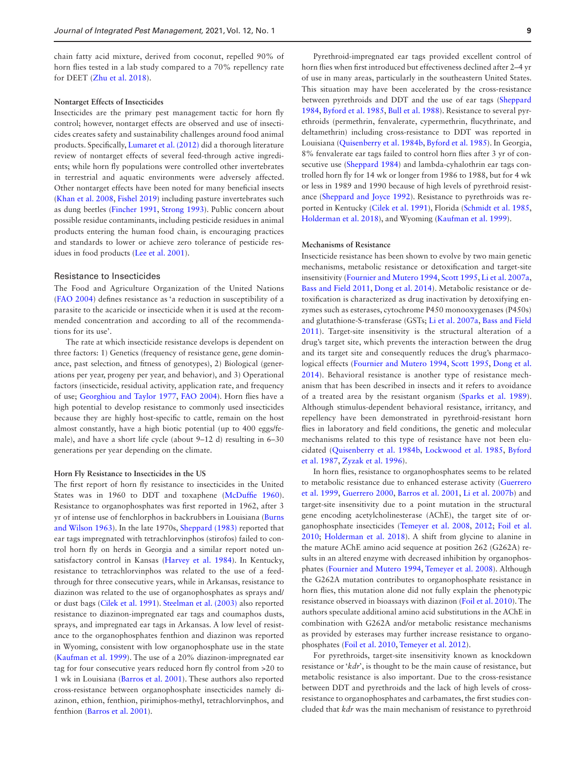chain fatty acid mixture, derived from coconut, repelled 90% of horn flies tested in a lab study compared to a 70% repellency rate for DEET ([Zhu et al. 2018](#page-21-2)).

#### **Nontarget Effects of Insecticides**

Insecticides are the primary pest management tactic for horn fly control; however, nontarget effects are observed and use of insecticides creates safety and sustainability challenges around food animal products. Specifically, [Lumaret et al. \(2012\)](#page-17-32) did a thorough literature review of nontarget effects of several feed-through active ingredients; while horn fly populations were controlled other invertebrates in terrestrial and aquatic environments were adversely affected. Other nontarget effects have been noted for many beneficial insects ([Khan et al. 2008,](#page-17-33) [Fishel 2019\)](#page-15-17) including pasture invertebrates such as dung beetles ([Fincher 1991,](#page-15-18) [Strong 1993\)](#page-20-24). Public concern about possible residue contaminants, including pesticide residues in animal products entering the human food chain, is encouraging practices and standards to lower or achieve zero tolerance of pesticide residues in food products [\(Lee et al. 2001](#page-17-34)).

# Resistance to Insecticides

The Food and Agriculture Organization of the United Nations ([FAO 2004\)](#page-15-19) defines resistance as 'a reduction in susceptibility of a parasite to the acaricide or insecticide when it is used at the recommended concentration and according to all of the recommendations for its use'.

The rate at which insecticide resistance develops is dependent on three factors: 1) Genetics (frequency of resistance gene, gene dominance, past selection, and fitness of genotypes), 2) Biological (generations per year, progeny per year, and behavior), and 3) Operational factors (insecticide, residual activity, application rate, and frequency of use; [Georghiou and Taylor 1977,](#page-16-29) [FAO 2004](#page-15-19)). Horn flies have a high potential to develop resistance to commonly used insecticides because they are highly host-specific to cattle, remain on the host almost constantly, have a high biotic potential (up to 400 eggs/female), and have a short life cycle (about 9–12 d) resulting in 6–30 generations per year depending on the climate.

#### **Horn Fly Resistance to Insecticides in the US**

The first report of horn fly resistance to insecticides in the United States was in 1960 to DDT and toxaphene ([McDuffie 1960](#page-18-33)). Resistance to organophosphates was first reported in 1962, after 3 yr of intense use of fenchlorphos in backrubbers in Louisiana [\(Burns](#page-14-25) [and Wilson 1963](#page-14-25)). In the late 1970s, [Sheppard \(1983\)](#page-19-29) reported that ear tags impregnated with tetrachlorvinphos (stirofos) failed to control horn fly on herds in Georgia and a similar report noted unsatisfactory control in Kansas ([Harvey et al. 1984](#page-16-30)). In Kentucky, resistance to tetrachlorvinphos was related to the use of a feedthrough for three consecutive years, while in Arkansas, resistance to diazinon was related to the use of organophosphates as sprays and/ or dust bags [\(Cilek et al. 1991](#page-15-20)). [Steelman et al. \(2003\)](#page-20-9) also reported resistance to diazinon-impregnated ear tags and coumaphos dusts, sprays, and impregnated ear tags in Arkansas. A low level of resistance to the organophosphates fenthion and diazinon was reported in Wyoming, consistent with low organophosphate use in the state ([Kaufman et al. 1999](#page-16-31)). The use of a 20% diazinon-impregnated ear tag for four consecutive years reduced horn fly control from >20 to 1 wk in Louisiana [\(Barros et al. 2001\)](#page-14-26). These authors also reported cross-resistance between organophosphate insecticides namely diazinon, ethion, fenthion, pirimiphos-methyl, tetrachlorvinphos, and fenthion ([Barros et al. 2001](#page-14-26)).

Pyrethroid-impregnated ear tags provided excellent control of horn flies when first introduced but effectiveness declined after 2–4 yr of use in many areas, particularly in the southeastern United States. This situation may have been accelerated by the cross-resistance between pyrethroids and DDT and the use of ear tags ([Sheppard](#page-19-30) [1984,](#page-19-30) [Byford et al. 1985](#page-14-27), [Bull et al. 1988\)](#page-14-28). Resistance to several pyrethroids (permethrin, fenvalerate, cypermethrin, flucythrinate, and deltamethrin) including cross-resistance to DDT was reported in Louisiana [\(Quisenberry et al. 1984b,](#page-19-31) [Byford et al. 1985](#page-14-27)). In Georgia, 8% fenvalerate ear tags failed to control horn flies after 3 yr of con-secutive use ([Sheppard 1984\)](#page-19-30) and lambda-cyhalothrin ear tags controlled horn fly for 14 wk or longer from 1986 to 1988, but for 4 wk or less in 1989 and 1990 because of high levels of pyrethroid resistance ([Sheppard and Joyce 1992\)](#page-19-32). Resistance to pyrethroids was reported in Kentucky ([Cilek et al. 1991\)](#page-15-20), Florida [\(Schmidt et al. 1985](#page-19-33), [Holderman et al. 2018](#page-16-32)), and Wyoming [\(Kaufman et al. 1999](#page-16-31)).

#### **Mechanisms of Resistance**

Insecticide resistance has been shown to evolve by two main genetic mechanisms, metabolic resistance or detoxification and target-site insensitivity ([Fournier and Mutero 1994,](#page-15-21) [Scott 1995,](#page-19-34) [Li et al. 2007a](#page-17-35), [Bass and Field 2011](#page-14-29), [Dong et al. 2014\)](#page-15-22). Metabolic resistance or detoxification is characterized as drug inactivation by detoxifying enzymes such as esterases, cytochrome P450 monooxygenases (P450s) and glutathione-S-transferase (GSTs; [Li et al. 2007a](#page-17-35), [Bass and Field](#page-14-29) [2011](#page-14-29)). Target-site insensitivity is the structural alteration of a drug's target site, which prevents the interaction between the drug and its target site and consequently reduces the drug's pharmacological effects ([Fournier and Mutero 1994](#page-15-21), [Scott 1995,](#page-19-34) [Dong et al.](#page-15-22) [2014](#page-15-22)). Behavioral resistance is another type of resistance mechanism that has been described in insects and it refers to avoidance of a treated area by the resistant organism ([Sparks et al. 1989](#page-20-25)). Although stimulus-dependent behavioral resistance, irritancy, and repellency have been demonstrated in pyrethroid-resistant horn flies in laboratory and field conditions, the genetic and molecular mechanisms related to this type of resistance have not been elucidated [\(Quisenberry et al. 1984b,](#page-19-31) [Lockwood et al. 1985](#page-17-36), [Byford](#page-14-30) [et al. 1987](#page-14-30), [Zyzak et al. 1996\)](#page-21-3).

In horn flies, resistance to organophosphates seems to be related to metabolic resistance due to enhanced esterase activity ([Guerrero](#page-16-33) [et al. 1999](#page-16-33), [Guerrero 2000,](#page-16-34) [Barros et al. 2001](#page-14-26), [Li et al. 2007b](#page-17-37)) and target-site insensitivity due to a point mutation in the structural gene encoding acetylcholinesterase (AChE), the target site of organophosphate insecticides [\(Temeyer et al. 2008](#page-20-26), [2012](#page-20-27); [Foil et al.](#page-15-23) [2010;](#page-15-23) [Holderman et al. 2018](#page-16-32)). A shift from glycine to alanine in the mature AChE amino acid sequence at position 262 (G262A) results in an altered enzyme with decreased inhibition by organophosphates ([Fournier and Mutero 1994,](#page-15-21) [Temeyer et al. 2008\)](#page-20-26). Although the G262A mutation contributes to organophosphate resistance in horn flies, this mutation alone did not fully explain the phenotypic resistance observed in bioassays with diazinon [\(Foil et al. 2010](#page-15-23)). The authors speculate additional amino acid substitutions in the AChE in combination with G262A and/or metabolic resistance mechanisms as provided by esterases may further increase resistance to organophosphates ([Foil et al. 2010,](#page-15-23) [Temeyer et al. 2012\)](#page-20-27).

For pyrethroids, target-site insensitivity known as knockdown resistance or '*kdr*', is thought to be the main cause of resistance, but metabolic resistance is also important. Due to the cross-resistance between DDT and pyrethroids and the lack of high levels of crossresistance to organophosphates and carbamates, the first studies concluded that *kdr* was the main mechanism of resistance to pyrethroid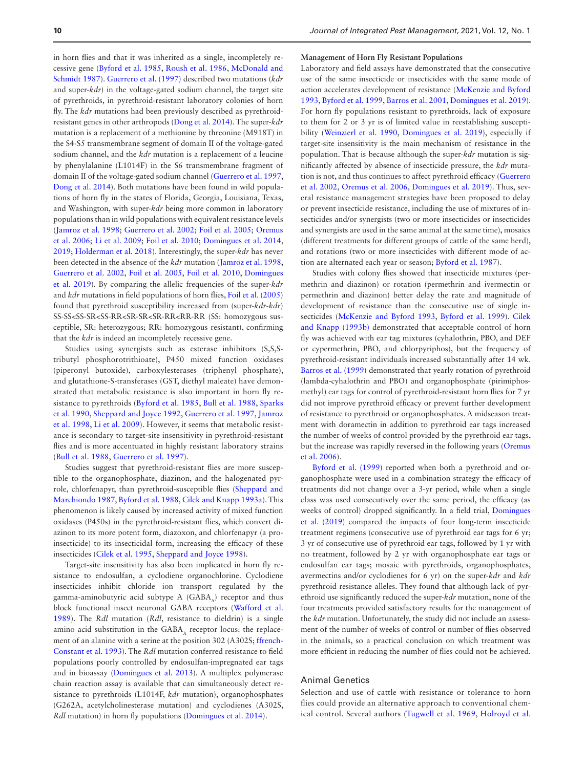in horn flies and that it was inherited as a single, incompletely recessive gene ([Byford et al. 1985](#page-14-27), [Roush et al. 1986,](#page-19-35) [McDonald and](#page-18-34) [Schmidt 1987](#page-18-34)). [Guerrero et al. \(1997\)](#page-16-35) described two mutations (*kdr* and super-*kdr*) in the voltage-gated sodium channel, the target site of pyrethroids, in pyrethroid-resistant laboratory colonies of horn fly. The *kdr* mutations had been previously described as pyrethroidresistant genes in other arthropods [\(Dong et al. 2014\)](#page-15-22). The super-*kdr* mutation is a replacement of a methionine by threonine (M918T) in the S4-S5 transmembrane segment of domain II of the voltage-gated sodium channel, and the *kdr* mutation is a replacement of a leucine by phenylalanine (L1014F) in the S6 transmembrane fragment of domain II of the voltage-gated sodium channel [\(Guerrero et al. 1997](#page-16-35), [Dong et al. 2014\)](#page-15-22). Both mutations have been found in wild populations of horn fly in the states of Florida, Georgia, Louisiana, Texas, and Washington, with super-*kdr* being more common in laboratory populations than in wild populations with equivalent resistance levels ([Jamroz et al. 1998;](#page-16-36) [Guerrero et al. 2002;](#page-16-37) [Foil et al. 2005;](#page-15-24) [Oremus](#page-19-36) [et al. 2006;](#page-19-36) [Li et al. 2009;](#page-17-38) [Foil et al. 2010](#page-15-23); [Domingues et al. 2014](#page-15-25), [2019](#page-15-26); [Holderman et al. 2018\)](#page-16-32). Interestingly, the super-*kdr* has never been detected in the absence of the *kdr* mutation ([Jamroz et al. 1998](#page-16-36), [Guerrero et al. 2002,](#page-16-37) [Foil et al. 2005](#page-15-24), [Foil et al. 2010](#page-15-23), [Domingues](#page-15-26) [et al. 2019\)](#page-15-26). By comparing the allelic frequencies of the super-*kdr* and *kdr* mutations in field populations of horn flies, [Foil et al. \(2005\)](#page-15-24) found that pyrethroid susceptibility increased from (super-*kdr*-*kdr*) SS-SS<SS-SR<SS-RR<SR-SR<SR-RR<RR-RR (SS: homozygous susceptible, SR: heterozygous; RR: homozygous resistant), confirming that the *kdr* is indeed an incompletely recessive gene.

Studies using synergists such as esterase inhibitors (S,S,Stributyl phosphorotrithioate), P450 mixed function oxidases (piperonyl butoxide), carboxylesterases (triphenyl phosphate), and glutathione-S-transferases (GST, diethyl maleate) have demonstrated that metabolic resistance is also important in horn fly resistance to pyrethroids ([Byford et al. 1985](#page-14-27), [Bull et al. 1988,](#page-14-28) [Sparks](#page-20-28) [et al. 1990](#page-20-28), [Sheppard and Joyce 1992](#page-19-32), [Guerrero et al. 1997](#page-16-35), [Jamroz](#page-16-36) [et al. 1998,](#page-16-36) [Li et al. 2009](#page-17-38)). However, it seems that metabolic resistance is secondary to target-site insensitivity in pyrethroid-resistant flies and is more accentuated in highly resistant laboratory strains ([Bull et al. 1988,](#page-14-28) [Guerrero et al. 1997](#page-16-35)).

Studies suggest that pyrethroid-resistant flies are more susceptible to the organophosphate, diazinon, and the halogenated pyrrole, chlorfenapyr, than pyrethroid-susceptible flies ([Sheppard and](#page-19-37) [Marchiondo 1987](#page-19-37), [Byford et al. 1988,](#page-14-31) [Cilek and Knapp 1993a](#page-14-32)). This phenomenon is likely caused by increased activity of mixed function oxidases (P450s) in the pyrethroid-resistant flies, which convert diazinon to its more potent form, diazoxon, and chlorfenapyr (a proinsecticide) to its insecticidal form, increasing the efficacy of these insecticides ([Cilek et al. 1995,](#page-15-27) [Sheppard and Joyce 1998\)](#page-19-38).

Target-site insensitivity has also been implicated in horn fly resistance to endosulfan, a cyclodiene organochlorine. Cyclodiene insecticides inhibit chloride ion transport regulated by the gamma-aminobutyric acid subtype  $A$  (GABA<sub> $<sub>A</sub>$ ) receptor and thus</sub></sub> block functional insect neuronal GABA receptors ([Wafford et al.](#page-20-29) [1989](#page-20-29)). The *Rdl* mutation (*Rdl*, resistance to dieldrin) is a single amino acid substitution in the  $GABA_A$  receptor locus: the replacement of an alanine with a serine at the position 302 (A302S; [ffrench-](#page-15-28)[Constant et al. 1993](#page-15-28)). The *Rdl* mutation conferred resistance to field populations poorly controlled by endosulfan-impregnated ear tags and in bioassay ([Domingues et al. 2013\)](#page-15-29). A multiplex polymerase chain reaction assay is available that can simultaneously detect resistance to pyrethroids (L1014F, *kdr* mutation), organophosphates (G262A, acetylcholinesterase mutation) and cyclodienes (A302S, *Rdl* mutation) in horn fly populations [\(Domingues et al. 2014](#page-15-25)).

### **Management of Horn Fly Resistant Populations**

Laboratory and field assays have demonstrated that the consecutive use of the same insecticide or insecticides with the same mode of action accelerates development of resistance [\(McKenzie and Byford](#page-18-35) [1993](#page-18-35), [Byford et al. 1999,](#page-14-33) [Barros et al. 2001](#page-14-26), [Domingues et al. 2019\)](#page-15-26). For horn fly populations resistant to pyrethroids, lack of exposure to them for 2 or 3 yr is of limited value in reestablishing susceptibility [\(Weinzierl et al. 1990,](#page-20-30) [Domingues et al. 2019](#page-15-26)), especially if target-site insensitivity is the main mechanism of resistance in the population. That is because although the super-*kdr* mutation is significantly affected by absence of insecticide pressure, the *kdr* mutation is not, and thus continues to affect pyrethroid efficacy ([Guerrero](#page-16-37) [et al. 2002](#page-16-37), [Oremus et al. 2006](#page-19-36), [Domingues et al. 2019](#page-15-26)). Thus, several resistance management strategies have been proposed to delay or prevent insecticide resistance, including the use of mixtures of insecticides and/or synergists (two or more insecticides or insecticides and synergists are used in the same animal at the same time), mosaics (different treatments for different groups of cattle of the same herd), and rotations (two or more insecticides with different mode of action are alternated each year or season; [Byford et al. 1987](#page-14-30)).

Studies with colony flies showed that insecticide mixtures (permethrin and diazinon) or rotation (permethrin and ivermectin or permethrin and diazinon) better delay the rate and magnitude of development of resistance than the consecutive use of single insecticides [\(McKenzie and Byford 1993](#page-18-35), [Byford et al. 1999](#page-14-33)). [Cilek](#page-15-30) [and Knapp \(1993b\)](#page-15-30) demonstrated that acceptable control of horn fly was achieved with ear tag mixtures (cyhalothrin, PBO, and DEF or cypermethrin, PBO, and chlorpyriphos), but the frequency of pyrethroid-resistant individuals increased substantially after 14 wk. [Barros et al. \(1999\)](#page-14-34) demonstrated that yearly rotation of pyrethroid (lambda-cyhalothrin and PBO) and organophosphate (pirimiphosmethyl) ear tags for control of pyrethroid-resistant horn flies for 7 yr did not improve pyrethroid efficacy or prevent further development of resistance to pyrethroid or organophosphates. A midseason treatment with doramectin in addition to pyrethroid ear tags increased the number of weeks of control provided by the pyrethroid ear tags, but the increase was rapidly reversed in the following years ([Oremus](#page-19-36) [et al. 2006\)](#page-19-36).

Byford et al. (1999) reported when both a pyrethroid and organophosphate were used in a combination strategy the efficacy of treatments did not change over a 3-yr period, while when a single class was used consecutively over the same period, the efficacy (as weeks of control) dropped significantly. In a field trial, [Domingues](#page-15-26) [et al. \(2019\)](#page-15-26) compared the impacts of four long-term insecticide treatment regimens (consecutive use of pyrethroid ear tags for 6 yr; 3 yr of consecutive use of pyrethroid ear tags, followed by 1 yr with no treatment, followed by 2 yr with organophosphate ear tags or endosulfan ear tags; mosaic with pyrethroids, organophosphates, avermectins and/or cyclodienes for 6 yr) on the super-*kdr* and *kdr* pyrethroid resistance alleles. They found that although lack of pyrethroid use significantly reduced the super-*kdr* mutation, none of the four treatments provided satisfactory results for the management of the *kdr* mutation. Unfortunately, the study did not include an assessment of the number of weeks of control or number of flies observed in the animals, so a practical conclusion on which treatment was more efficient in reducing the number of flies could not be achieved.

# Animal Genetics

Selection and use of cattle with resistance or tolerance to horn flies could provide an alternative approach to conventional chemical control. Several authors ([Tugwell et al. 1969](#page-20-6), [Holroyd et al.](#page-16-38)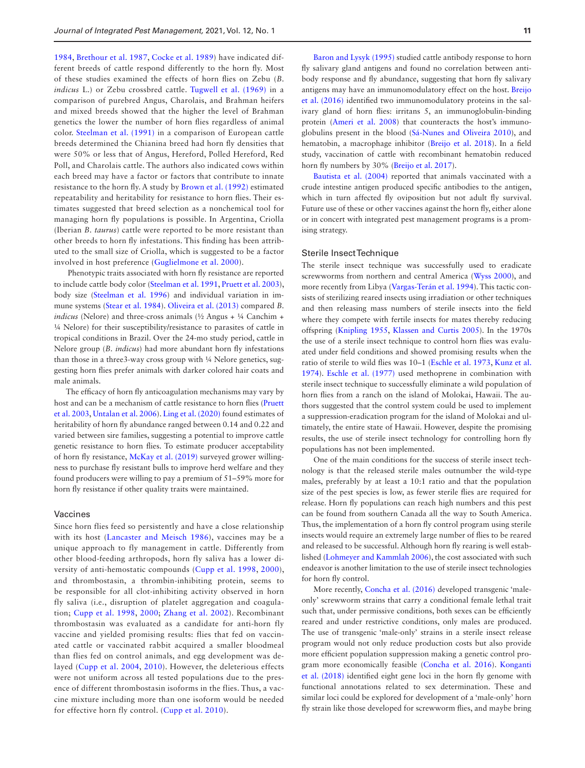[1984](#page-16-38), [Brethour et al. 1987](#page-14-35), [Cocke et al. 1989](#page-15-1)) have indicated different breeds of cattle respond differently to the horn fly. Most of these studies examined the effects of horn flies on Zebu (*B. indicus* L.) or Zebu crossbred cattle. Tugwell et al. (1969) in a comparison of purebred Angus, Charolais, and Brahman heifers and mixed breeds showed that the higher the level of Brahman genetics the lower the number of horn flies regardless of animal color. [Steelman et al. \(1991\)](#page-20-31) in a comparison of European cattle breeds determined the Chianina breed had horn fly densities that were 50% or less that of Angus, Hereford, Polled Hereford, Red Poll, and Charolais cattle. The authors also indicated cows within each breed may have a factor or factors that contribute to innate resistance to the horn fly. A study by [Brown et al. \(1992\)](#page-14-36) estimated repeatability and heritability for resistance to horn flies. Their estimates suggested that breed selection as a nonchemical tool for managing horn fly populations is possible. In Argentina, Criolla (Iberian *B. taurus*) cattle were reported to be more resistant than other breeds to horn fly infestations. This finding has been attributed to the small size of Criolla, which is suggested to be a factor involved in host preference ([Guglielmone et al. 2000](#page-16-39)).

 Phenotypic traits associated with horn fly resistance are reported to include cattle body color [\(Steelman et al. 1991,](#page-20-31) [Pruett et al. 2003](#page-19-39)), body size [\(Steelman et al. 1996](#page-20-32)) and individual variation in immune systems ([Stear et al. 1984\)](#page-20-33). [Oliveira et al. \(2013\)](#page-18-36) compared *B. indicus* (Nelore) and three-cross animals (½ Angus + ¼ Canchim + ¼ Nelore) for their susceptibility/resistance to parasites of cattle in tropical conditions in Brazil. Over the 24-mo study period, cattle in Nelore group (*B. indicus*) had more abundant horn fly infestations than those in a three3-way cross group with ¼ Nelore genetics, suggesting horn flies prefer animals with darker colored hair coats and male animals.

The efficacy of horn fly anticoagulation mechanisms may vary by host and can be a mechanism of cattle resistance to horn flies [\(Pruett](#page-19-39) [et al. 2003,](#page-19-39) [Untalan et al. 2006\)](#page-20-34). [Ling et al. \(2020\)](#page-17-39) found estimates of heritability of horn fly abundance ranged between 0.14 and 0.22 and varied between sire families, suggesting a potential to improve cattle genetic resistance to horn flies. To estimate producer acceptability of horn fly resistance, [McKay et al. \(2019\)](#page-18-6) surveyed grower willingness to purchase fly resistant bulls to improve herd welfare and they found producers were willing to pay a premium of 51–59% more for horn fly resistance if other quality traits were maintained.

### Vaccines

Since horn flies feed so persistently and have a close relationship with its host ([Lancaster and Meisch 1986\)](#page-17-1), vaccines may be a unique approach to fly management in cattle. Differently from other blood-feeding arthropods, horn fly saliva has a lower diversity of anti-hemostatic compounds ([Cupp et al. 1998,](#page-15-31) [2000](#page-15-32)), and thrombostasin, a thrombin-inhibiting protein, seems to be responsible for all clot-inhibiting activity observed in horn fly saliva (i.e., disruption of platelet aggregation and coagulation; [Cupp et al. 1998,](#page-15-31) [2000](#page-15-32); [Zhang et al. 2002\)](#page-20-35). Recombinant thrombostasin was evaluated as a candidate for anti-horn fly vaccine and yielded promising results: flies that fed on vaccinated cattle or vaccinated rabbit acquired a smaller bloodmeal than flies fed on control animals, and egg development was delayed ([Cupp et al. 2004,](#page-15-33) [2010](#page-15-34)). However, the deleterious effects were not uniform across all tested populations due to the presence of different thrombostasin isoforms in the flies. Thus, a vaccine mixture including more than one isoform would be needed for effective horn fly control. [\(Cupp et al. 2010](#page-15-34)).

[Baron and Lysyk \(1995\)](#page-14-37) studied cattle antibody response to horn fly salivary gland antigens and found no correlation between antibody response and fly abundance, suggesting that horn fly salivary antigens may have an immunomodulatory effect on the host. [Breijo](#page-14-38) [et al. \(2016\)](#page-14-38) identified two immunomodulatory proteins in the salivary gland of horn flies: irritans 5, an immunoglobulin-binding protein (Ameri et al. 2008) that counteracts the host's immunoglobulins present in the blood [\(Sá-Nunes and Oliveira 2010](#page-19-40)), and hematobin, a macrophage inhibitor [\(Breijo et al. 2018\)](#page-14-39). In a field study, vaccination of cattle with recombinant hematobin reduced horn fly numbers by 30% ([Breijo et al. 2017](#page-14-40)).

[Bautista et al. \(2004\)](#page-14-41) reported that animals vaccinated with a crude intestine antigen produced specific antibodies to the antigen, which in turn affected fly oviposition but not adult fly survival. Future use of these or other vaccines against the horn fly, either alone or in concert with integrated pest management programs is a promising strategy.

#### Sterile Insect Technique

The sterile insect technique was successfully used to eradicate screwworms from northern and central America [\(Wyss 2000\)](#page-20-36), and more recently from Libya ([Vargas-Terán et al. 1994](#page-20-37)). This tactic consists of sterilizing reared insects using irradiation or other techniques and then releasing mass numbers of sterile insects into the field where they compete with fertile insects for mates thereby reducing offspring [\(Knipling 1955,](#page-17-40) [Klassen and Curtis 2005](#page-17-41)). In the 1970s the use of a sterile insect technique to control horn flies was evaluated under field conditions and showed promising results when the ratio of sterile to wild flies was 10–1 ([Eschle et al. 1973,](#page-15-35) [Kunz et al.](#page-17-42) [1974\)](#page-17-42). [Eschle et al. \(1977\)](#page-15-36) used methoprene in combination with sterile insect technique to successfully eliminate a wild population of horn flies from a ranch on the island of Molokai, Hawaii. The authors suggested that the control system could be used to implement a suppression-eradication program for the island of Molokai and ultimately, the entire state of Hawaii. However, despite the promising results, the use of sterile insect technology for controlling horn fly populations has not been implemented.

One of the main conditions for the success of sterile insect technology is that the released sterile males outnumber the wild-type males, preferably by at least a 10:1 ratio and that the population size of the pest species is low, as fewer sterile flies are required for release. Horn fly populations can reach high numbers and this pest can be found from southern Canada all the way to South America. Thus, the implementation of a horn fly control program using sterile insects would require an extremely large number of flies to be reared and released to be successful. Although horn fly rearing is well established ([Lohmeyer and Kammlah 2006](#page-17-43)), the cost associated with such endeavor is another limitation to the use of sterile insect technologies for horn fly control.

More recently, [Concha et al. \(2016\)](#page-15-37) developed transgenic 'maleonly' screwworm strains that carry a conditional female lethal trait such that, under permissive conditions, both sexes can be efficiently reared and under restrictive conditions, only males are produced. The use of transgenic 'male-only' strains in a sterile insect release program would not only reduce production costs but also provide more efficient population suppression making a genetic control program more economically feasible [\(Concha et al. 2016\)](#page-15-37). [Konganti](#page-17-44) [et al. \(2018\)](#page-17-44) identified eight gene loci in the horn fly genome with functional annotations related to sex determination. These and similar loci could be explored for development of a 'male-only' horn fly strain like those developed for screwworm flies, and maybe bring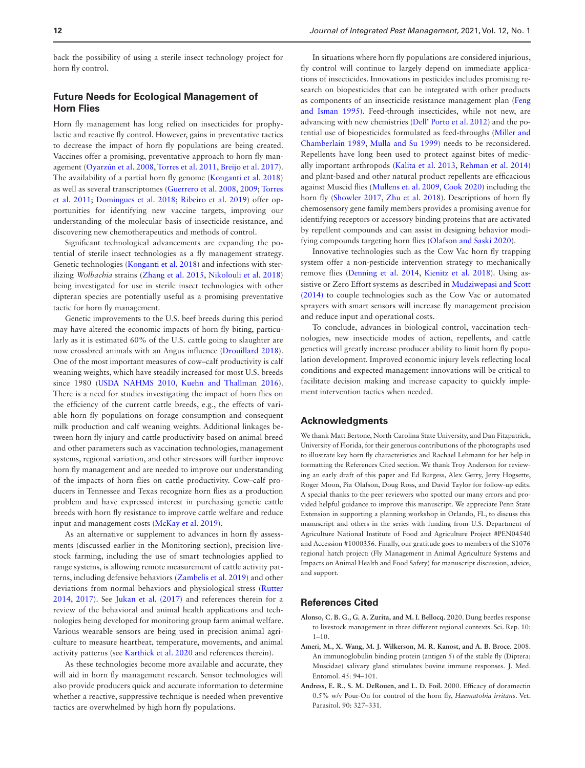back the possibility of using a sterile insect technology project for horn fly control.

# **Future Needs for Ecological Management of Horn Flies**

Horn fly management has long relied on insecticides for prophylactic and reactive fly control. However, gains in preventative tactics to decrease the impact of horn fly populations are being created. Vaccines offer a promising, preventative approach to horn fly management ([Oyarzún et al. 2008,](#page-19-17) [Torres et al. 2011,](#page-20-38) [Breijo et al. 2017\)](#page-14-40). The availability of a partial horn fly genome ([Konganti et al. 2018\)](#page-17-44) as well as several transcriptomes [\(Guerrero et al. 2008,](#page-16-40) [2009](#page-16-41); [Torres](#page-20-38) [et al. 2011;](#page-20-38) [Domingues et al. 2018;](#page-15-38) [Ribeiro et al. 2019](#page-19-19)) offer opportunities for identifying new vaccine targets, improving our understanding of the molecular basis of insecticide resistance, and discovering new chemotherapeutics and methods of control.

Significant technological advancements are expanding the potential of sterile insect technologies as a fly management strategy. Genetic technologies [\(Konganti et al. 2018\)](#page-17-44) and infections with sterilizing *Wolbachia* strains [\(Zhang et al. 2015,](#page-20-39) [Nikolouli et al. 2018\)](#page-18-37) being investigated for use in sterile insect technologies with other dipteran species are potentially useful as a promising preventative tactic for horn fly management.

Genetic improvements to the U.S. beef breeds during this period may have altered the economic impacts of horn fly biting, particularly as it is estimated 60% of the U.S. cattle going to slaughter are now crossbred animals with an Angus influence ([Drouillard 2018\)](#page-15-39). One of the most important measures of cow–calf productivity is calf weaning weights, which have steadily increased for most U.S. breeds since 1980 ([USDA NAHMS 2010,](#page-20-40) [Kuehn and Thallman 2016\)](#page-17-45). There is a need for studies investigating the impact of horn flies on the efficiency of the current cattle breeds, e.g., the effects of variable horn fly populations on forage consumption and consequent milk production and calf weaning weights. Additional linkages between horn fly injury and cattle productivity based on animal breed and other parameters such as vaccination technologies, management systems, regional variation, and other stressors will further improve horn fly management and are needed to improve our understanding of the impacts of horn flies on cattle productivity. Cow–calf producers in Tennessee and Texas recognize horn flies as a production problem and have expressed interest in purchasing genetic cattle breeds with horn fly resistance to improve cattle welfare and reduce input and management costs ([McKay et al. 2019\)](#page-18-6).

As an alternative or supplement to advances in horn fly assessments (discussed earlier in the Monitoring section), precision livestock farming, including the use of smart technologies applied to range systems, is allowing remote measurement of cattle activity patterns, including defensive behaviors [\(Zambelis et al. 2019\)](#page-20-41) and other deviations from normal behaviors and physiological stress [\(Rutter](#page-19-41) [2014](#page-19-41), [2017](#page-19-42)). See [Jukan et al. \(2017\)](#page-16-42) and references therein for a review of the behavioral and animal health applications and technologies being developed for monitoring group farm animal welfare. Various wearable sensors are being used in precision animal agriculture to measure heartbeat, temperature, movements, and animal activity patterns (see [Karthick et al. 2020](#page-16-43) and references therein).

As these technologies become more available and accurate, they will aid in horn fly management research. Sensor technologies will also provide producers quick and accurate information to determine whether a reactive, suppressive technique is needed when preventive tactics are overwhelmed by high horn fly populations.

In situations where horn fly populations are considered injurious, fly control will continue to largely depend on immediate applications of insecticides. Innovations in pesticides includes promising research on biopesticides that can be integrated with other products as components of an insecticide resistance management plan ([Feng](#page-15-40) [and Isman 1995](#page-15-40)). Feed-through insecticides, while not new, are advancing with new chemistries [\(Dell' Porto et al. 2012](#page-15-41)) and the potential use of biopesticides formulated as feed-throughs ([Miller and](#page-18-38) [Chamberlain 1989,](#page-18-38) [Mulla and Su 1999\)](#page-18-39) needs to be reconsidered. Repellents have long been used to protect against bites of medically important arthropods [\(Kalita et al. 2013,](#page-16-44) [Rehman et al. 2014\)](#page-19-43) and plant-based and other natural product repellents are efficacious against Muscid flies ([Mullens et. al. 2009](#page-18-31), [Cook 2020\)](#page-15-42) including the horn fly ([Showler 2017](#page-19-44), [Zhu et al. 2018\)](#page-21-2). Descriptions of horn fly chemosensory gene family members provides a promising avenue for identifying receptors or accessory binding proteins that are activated by repellent compounds and can assist in designing behavior modifying compounds targeting horn flies ([Olafson and Saski 2020\)](#page-18-40).

Innovative technologies such as the Cow Vac horn fly trapping system offer a non-pesticide intervention strategy to mechanically remove flies ([Denning et al. 2014,](#page-15-6) [Kienitz et al. 2018](#page-17-18)). Using assistive or Zero Effort systems as described in [Mudziwepasi and Scott](#page-18-41) [\(2014\)](#page-18-41) to couple technologies such as the Cow Vac or automated sprayers with smart sensors will increase fly management precision and reduce input and operational costs.

To conclude, advances in biological control, vaccination technologies, new insecticide modes of action, repellents, and cattle genetics will greatly increase producer ability to limit horn fly population development. Improved economic injury levels reflecting local conditions and expected management innovations will be critical to facilitate decision making and increase capacity to quickly implement intervention tactics when needed.

### **Acknowledgments**

We thank Matt Bertone, North Carolina State University, and Dan Fitzpatrick, University of Florida, for their generous contributions of the photographs used to illustrate key horn fly characteristics and Rachael Lehmann for her help in formatting the References Cited section. We thank Troy Anderson for reviewing an early draft of this paper and Ed Burgess, Alex Gerry, Jerry Hogsette, Roger Moon, Pia Olafson, Doug Ross, and David Taylor for follow-up edits. A special thanks to the peer reviewers who spotted our many errors and provided helpful guidance to improve this manuscript. We appreciate Penn State Extension in supporting a planning workshop in Orlando, FL, to discuss this manuscript and others in the series with funding from U.S. Department of Agriculture National Institute of Food and Agriculture Project #PEN04540 and Accession #1000356. Finally, our gratitude goes to members of the S1076 regional hatch project: (Fly Management in Animal Agriculture Systems and Impacts on Animal Health and Food Safety) for manuscript discussion, advice, and support.

# **References Cited**

- <span id="page-13-0"></span>**Alonso, C. B. G., G. A. Zurita, and M. I. Bellocq.** 2020. Dung beetles response to livestock management in three different regional contexts. Sci. Rep. 10: 1–10.
- <span id="page-13-2"></span>**Ameri, M., X. Wang, M. J. Wilkerson, M. R. Kanost, and A. B. Broce.** 2008. An immunoglobulin binding protein (antigen 5) of the stable fly (Diptera: Muscidae) salivary gland stimulates bovine immune responses. J. Med. Entomol. 45: 94–101.
- <span id="page-13-1"></span>**Andress, E. R., S. M. DeRouen, and L. D. Foil.** 2000. Efficacy of doramectin 0.5% w/v Pour-On for control of the horn fly, *Haematobia irritans*. Vet. Parasitol. 90: 327–331.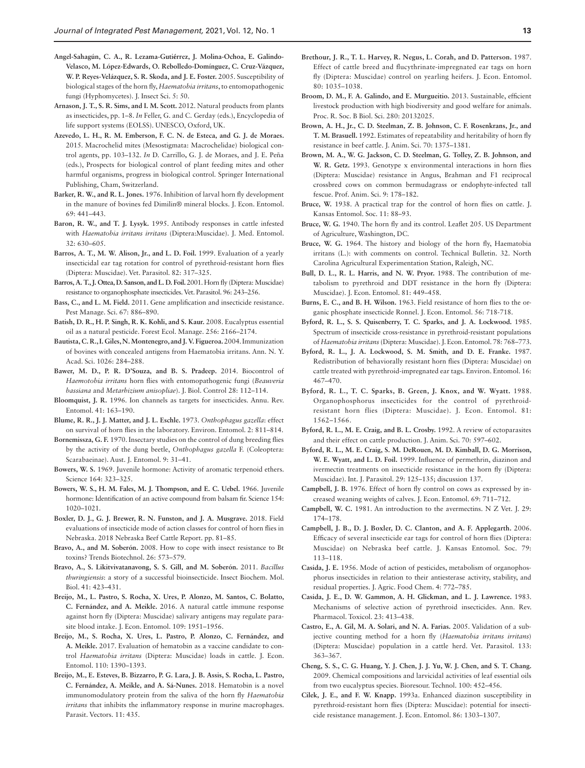- <span id="page-14-11"></span>**Angel-Sahagún, C. A., R. Lezama-Gutiérrez, J. Molina-Ochoa, E. Galindo-Velasco, M. López-Edwards, O. Rebolledo-Domínguez, C. Cruz-Vázquez, W. P. Reyes-Velázquez, S. R. Skoda, and J. E. Foster.** 2005. Susceptibility of biological stages of the horn fly, *Haematobia irritans*, to entomopathogenic fungi (Hyphomycetes). J. Insect Sci. 5: 50.
- <span id="page-14-17"></span>**Arnason, J. T., S. R. Sims, and I. M. Scott.** 2012. Natural products from plants as insecticides, pp. 1–8. *In* Feller, G. and C. Gerday (eds.), Encyclopedia of life support systems (EOLSS). UNESCO, Oxford, UK.
- <span id="page-14-10"></span>**Azevedo, L. H., R. M. Emberson, F. C. N. de Esteca, and G. J. de Moraes.**  2015. Macrochelid mites (Mesostigmata: Macrochelidae) biological control agents, pp. 103–132. *In* D. Carrillo**,** G. J. de Moraes, and J. E. Peña (eds.), Prospects for biological control of plant feeding mites and other harmful organisms, progress in biological control. Springer International Publishing, Cham, Switzerland.
- <span id="page-14-15"></span>**Barker, R. W., and R. L. Jones.** 1976. Inhibition of larval horn fly development in the manure of bovines fed Dimilin® mineral blocks. J. Econ. Entomol. 69: 441–443.
- <span id="page-14-37"></span>**Baron, R. W., and T. J. Lysyk.** 1995. Antibody responses in cattle infested with *Haematobia irritans irritans* (Diptera:Muscidae). J. Med. Entomol. 32: 630–605.
- <span id="page-14-34"></span>**Barros, A. T., M. W. Alison, Jr., and L. D. Foil.** 1999. Evaluation of a yearly insecticidal ear tag rotation for control of pyrethroid-resistant horn flies (Diptera: Muscidae). Vet. Parasitol. 82: 317–325.
- <span id="page-14-26"></span>**Barros, A. T., J. Ottea, D. Sanson, and L. D. Foil.** 2001. Horn fly (Diptera: Muscidae) resistance to organophosphate insecticides. Vet. Parasitol. 96: 243–256.
- <span id="page-14-29"></span>**Bass, C., and L. M. Field.** 2011. Gene amplification and insecticide resistance. Pest Manage. Sci. 67: 886–890.
- <span id="page-14-24"></span>**Batish, D. R., H. P. Singh, R. K. Kohli, and S. Kaur.** 2008. Eucalyptus essential oil as a natural pesticide. Forest Ecol. Manage. 256: 2166–2174.
- <span id="page-14-41"></span>**Bautista, C. R., I. Giles, N. Montenegro, and J. V. Figueroa.** 2004. Immunization of bovines with concealed antigens from Haematobia irritans. Ann. N. Y. Acad. Sci. 1026: 284–288.
- <span id="page-14-12"></span>**Bawer, M. D., P. R. D'Souza, and B. S. Pradeep.** 2014. Biocontrol of *Haemotobia irritans* horn flies with entomopathogenic fungi (*Beauveria bassiana* and *Metarhizium anisopliae*). J. Biol. Control 28: 112–114.
- <span id="page-14-21"></span>**Bloomquist, J. R.** 1996. Ion channels as targets for insecticides. Annu. Rev. Entomol. 41: 163–190.
- <span id="page-14-9"></span>**Blume, R. R., J. J. Matter, and J. L. Eschle.** 1973. *Onthophagus gazella*: effect on survival of horn flies in the laboratory. Environ. Entomol. 2: 811–814.
- <span id="page-14-8"></span>**Bornemissza, G. F.** 1970. Insectary studies on the control of dung breeding flies by the activity of the dung beetle, *Onthophagus gazella* F. (Coleoptera: Scarabaeinae). Aust. J. Entomol. 9: 31–41.
- <span id="page-14-19"></span>**Bowers, W. S.** 1969. Juvenile hormone: Activity of aromatic terpenoid ethers. Science 164: 323–325.
- **Bowers, W. S., H. M. Fales, M. J. Thompson, and E. C. Uebel.** 1966. Juvenile hormone: Identification of an active compound from balsam fir. Science 154: 1020–1021.
- <span id="page-14-23"></span>**Boxler, D. J., G. J. Brewer, R. N. Funston, and J. A. Musgrave.** 2018. Field evaluations of insecticide mode of action classes for control of horn flies in Nebraska. 2018 Nebraska Beef Cattle Report. pp. 81–85.
- <span id="page-14-14"></span>**Bravo, A., and M. Soberón.** 2008. How to cope with insect resistance to Bt toxins? Trends Biotechnol. 26: 573–579.
- <span id="page-14-13"></span>**Bravo, A., S. Likitvivatanavong, S. S. Gill, and M. Soberón.** 2011. *Bacillus thuringiensis*: a story of a successful bioinsecticide. Insect Biochem. Mol. Biol. 41: 423–431.
- <span id="page-14-38"></span>**Breijo, M., L. Pastro, S. Rocha, X. Ures, P. Alonzo, M. Santos, C. Bolatto, C. Fernández, and A. Meikle.** 2016. A natural cattle immune response against horn fly (Diptera: Muscidae) salivary antigens may regulate parasite blood intake. J. Econ. Entomol. 109: 1951–1956.
- <span id="page-14-40"></span>**Breijo, M., S. Rocha, X. Ures, L. Pastro, P. Alonzo, C. Fernández, and A. Meikle.** 2017. Evaluation of hematobin as a vaccine candidate to control *Haematobia irritans* (Diptera: Muscidae) loads in cattle. J. Econ. Entomol. 110: 1390–1393.
- <span id="page-14-39"></span>**Breijo, M., E. Esteves, B. Bizzarro, P. G. Lara, J. B. Assis, S. Rocha, L. Pastro, C. Fernández, A. Meikle, and A. Sá-Nunes.** 2018. Hematobin is a novel immunomodulatory protein from the saliva of the horn fly *Haematobia irritans* that inhibits the inflammatory response in murine macrophages. Parasit. Vectors. 11: 435.
- <span id="page-14-35"></span>**Brethour, J. R., T. L. Harvey, R. Negus, L. Corah, and D. Patterson.** 1987. Effect of cattle breed and flucythrinate-impregnated ear tags on horn fly (Diptera: Muscidae) control on yearling heifers. J. Econ. Entomol. 80: 1035–1038.
- <span id="page-14-4"></span>**Broom, D. M., F. A. Galindo, and E. Murgueitio.** 2013. Sustainable, efficient livestock production with high biodiversity and good welfare for animals. Proc. R. Soc. B Biol. Sci. 280: 20132025.
- <span id="page-14-36"></span>**Brown, A. H., Jr., C. D. Steelman, Z. B. Johnson, C. F. Rosenkrans, Jr., and T. M. Brasuell.** 1992. Estimates of repeatability and heritability of horn fly resistance in beef cattle. J. Anim. Sci. 70: 1375–1381.
- <span id="page-14-5"></span>**Brown, M. A., W. G. Jackson, C. D. Steelman, G. Tolley, Z. B. Johnson, and W. R. Getz.** 1993. Genotype x environmental interactions in horn flies (Diptera: Muscidae) resistance in Angus, Brahman and F1 reciprocal crossbred cows on common bermudagrass or endophyte-infected tall fescue. Prof. Anim. Sci. 9: 178–182.
- <span id="page-14-6"></span>**Bruce, W.** 1938. A practical trap for the control of horn flies on cattle. J. Kansas Entomol. Soc. 11: 88–93.
- <span id="page-14-7"></span>**Bruce, W. G.** 1940. The horn fly and its control. Leaflet 205. US Department of Agriculture, Washington, DC.
- <span id="page-14-0"></span>**Bruce, W. G.** 1964. The history and biology of the horn fly, Haematobia irritans (L.): with comments on control. Technical Bulletin. 32. North Carolina Agricultural Experimentation Station, Raleigh, NC.
- <span id="page-14-28"></span>Bull, D. L., R. L. Harris, and N. W. Pryor. 1988. The contribution of metabolism to pyrethroid and DDT resistance in the horn fly (Diptera: Muscidae). J. Econ. Entomol. 81: 449–458.
- <span id="page-14-25"></span>**Burns, E. C., and B. H. Wilson.** 1963. Field resistance of horn flies to the organic phosphate insecticide Ronnel. J. Econ. Entomol. 56: 718-718.
- <span id="page-14-27"></span>**Byford, R. L., S. S. Quisenberry, T. C. Sparks, and J. A. Lockwood.** 1985. Spectrum of insecticide cross-resistance in pyrethroid-resistant populations of *Haematobia irritans* (Diptera: Muscidae). J. Econ. Entomol. 78: 768–773.
- <span id="page-14-30"></span>**Byford, R. L., J. A. Lockwood, S. M. Smith, and D. E. Franke.** 1987. Redistribution of behaviorally resistant horn flies (Diptera: Muscidae) on cattle treated with pyrethroid-impregnated ear tags. Environ. Entomol. 16: 467–470.
- <span id="page-14-31"></span>**Byford, R. L., T. C. Sparks, B. Green, J. Knox, and W. Wyatt.** 1988. Organophosphorus insecticides for the control of pyrethroidresistant horn flies (Diptera: Muscidae). J. Econ. Entomol. 81: 1562–1566.
- <span id="page-14-1"></span>**Byford, R. L., M. E. Craig, and B. L. Crosby.** 1992. A review of ectoparasites and their effect on cattle production. J. Anim. Sci. 70: 597–602.
- <span id="page-14-33"></span>**Byford, R. L., M. E. Craig, S. M. DeRouen, M. D. Kimball, D. G. Morrison, W. E. Wyatt, and L. D. Foil.** 1999. Influence of permethrin, diazinon and ivermectin treatments on insecticide resistance in the horn fly (Diptera: Muscidae). Int. J. Parasitol. 29: 125–135; discussion 137.
- <span id="page-14-2"></span>**Campbell, J. B.** 1976. Effect of horn fly control on cows as expressed by increased weaning weights of calves. J. Econ. Entomol. 69: 711–712.
- <span id="page-14-20"></span>**Campbell, W. C.** 1981. An introduction to the avermectins. N Z Vet. J. 29: 174–178.
- <span id="page-14-22"></span>**Campbell, J. B., D. J. Boxler, D. C. Clanton, and A. F. Applegarth.** 2006. Efficacy of several insecticide ear tags for control of horn flies (Diptera: Muscidae) on Nebraska beef cattle. J. Kansas Entomol. Soc. 79: 113–118.
- <span id="page-14-16"></span>**Casida, J. E.** 1956. Mode of action of pesticides, metabolism of organophosphorus insecticides in relation to their antiesterase activity, stability, and residual properties. J. Agric. Food Chem. 4: 772–785.
- <span id="page-14-18"></span>**Casida, J. E., D. W. Gammon, A. H. Glickman, and L. J. Lawrence.** 1983. Mechanisms of selective action of pyrethroid insecticides. Ann. Rev. Pharmacol. Toxicol. 23: 413–438.
- <span id="page-14-3"></span>**Castro, E., A. Gil, M. A. Solari, and N. A. Farias.** 2005. Validation of a subjective counting method for a horn fly (*Haematobia irritans irritans*) (Diptera: Muscidae) population in a cattle herd. Vet. Parasitol. 133: 363–367.
- **Cheng, S. S., C. G. Huang, Y. J. Chen, J. J. Yu, W. J. Chen, and S. T. Chang.**  2009. Chemical compositions and larvicidal activities of leaf essential oils from two eucalyptus species. Bioresour. Technol. 100: 452–456.
- <span id="page-14-32"></span>**Cilek, J. E., and F. W. Knapp.** 1993a. Enhanced diazinon susceptibility in pyrethroid-resistant horn flies (Diptera: Muscidae): potential for insecticide resistance management. J. Econ. Entomol. 86: 1303–1307.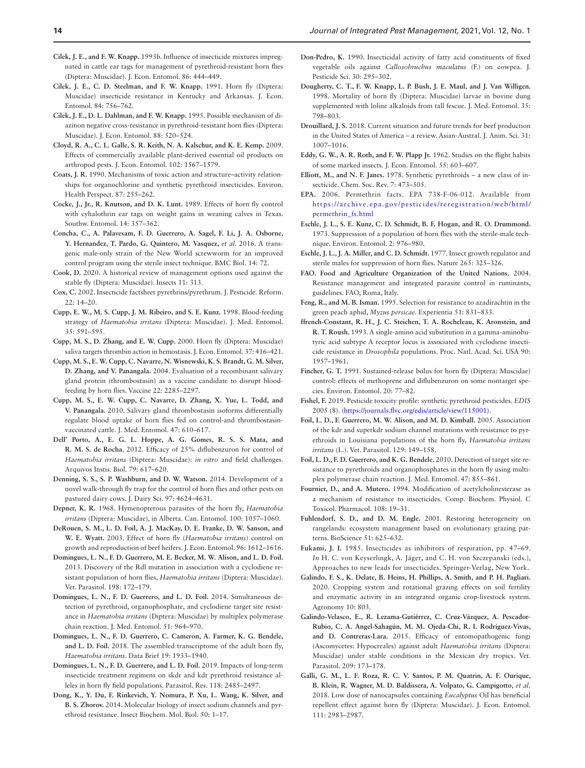- <span id="page-15-30"></span>**Cilek, J. E., and F. W. Knapp.** 1993b. Influence of insecticide mixtures impregnated in cattle ear tags for management of pyrethroid-resistant horn flies (Diptera: Muscidae). J. Econ. Entomol. 86: 444–449.
- <span id="page-15-20"></span>**Cilek, J. E., C. D. Steelman, and F. W. Knapp.** 1991. Horn fly (Diptera: Muscidae) insecticide resistance in Kentucky and Arkansas. J. Econ. Entomol. 84: 756–762.
- <span id="page-15-27"></span>**Cilek, J. E., D. L. Dahlman, and F. W. Knapp.** 1995. Possible mechanism of diazinon negative cross-resistance in pyrethroid-resistant horn flies (Diptera: Muscidae). J. Econ. Entomol. 88: 520–524.
- <span id="page-15-14"></span>**Cloyd, R. A., C. L. Galle, S. R. Keith, N. A. Kalschur, and K. E. Kemp.** 2009. Effects of commercially available plant-derived essential oil products on arthropod pests. J. Econ. Entomol. 102: 1567–1579.
- <span id="page-15-11"></span>**Coats, J. R.** 1990. Mechanisms of toxic action and structure–activity relationships for organochlorine and synthetic pyrethroid insecticides. Environ. Health Perspect. 87: 255–262.
- <span id="page-15-1"></span>**Cocke, J., Jr., R. Knutson, and D. K. Lunt.** 1989. Effects of horn fly control with cyhalothrin ear tags on weight gains in weaning calves in Texas. Southw. Entomol. 14: 357–362.
- <span id="page-15-37"></span>**Concha, C., A. Palavesam, F. D. Guerrero, A. Sagel, F. Li, J. A. Osborne, Y. Hernandez, T. Pardo, G. Quintero, M. Vasquez,** *et al*. 2016. A transgenic male-only strain of the New World screwworm for an improved control program using the sterile insect technique. BMC Biol. 14: 72.
- <span id="page-15-42"></span>**Cook, D.** 2020. A historical review of management options used against the stable fly (Diptera: Muscidae). Insects 11: 313.
- <span id="page-15-9"></span>**Cox, C.** 2002. Insecticide factsheet pyrethrins/pyrethrum. J. Pesticide. Reform. 22: 14–20.
- <span id="page-15-31"></span>**Cupp, E. W., M. S. Cupp, J. M. Ribeiro, and S. E. Kunz.** 1998. Blood-feeding strategy of *Haematobia irritans* (Diptera: Muscidae). J. Med. Entomol. 35: 591–595.
- <span id="page-15-32"></span>**Cupp, M. S., D. Zhang, and E. W. Cupp.** 2000. Horn fly (Diptera: Muscidae) saliva targets thrombin action in hemostasis. J. Econ. Entomol. 37: 416–421.
- <span id="page-15-33"></span>**Cupp, M. S., E. W. Cupp, C. Navarre, N. Wisnewski, K. S. Brandt, G. M. Silver, D. Zhang, and V. Panangala.** 2004. Evaluation of a recombinant salivary gland protein (thrombostasin) as a vaccine candidate to disrupt bloodfeeding by horn flies. Vaccine 22: 2285–2297.
- <span id="page-15-34"></span>**Cupp, M. S., E. W. Cupp, C. Navarre, D. Zhang, X. Yue, L. Todd, and V. Panangala.** 2010. Salivary gland thrombostasin isoforms differentially regulate blood uptake of horn flies fed on control-and thrombostasinvaccinated cattle. J. Med. Entomol. 47: 610–617.
- <span id="page-15-41"></span>**Dell' Porto, A., E. G. L. Hoppe, A. G. Gomes, R. S. S. Mata, and R. M. S. de Rocha.** 2012. Efficacy of 25% diflubenzuron for control of *Haematobia irritans* (Diptera: Muscidae): *in vitro* and field challenges. Arquivos Instis. Biol. 79: 617–620.
- <span id="page-15-6"></span>**Denning, S. S., S. P. Washburn, and D. W. Watson.** 2014. Development of a novel walk-through fly trap for the control of horn flies and other pests on pastured dairy cows. J. Dairy Sci. 97: 4624–4631.
- <span id="page-15-7"></span>**Depner, K. R.** 1968. Hymenopterous parasites of the horn fly, *Haematobia irritans* (Diptera: Muscidae), in Alberta. Can. Entomol. 100: 1057–1060.
- <span id="page-15-0"></span>**DeRouen, S. M., L. D. Foil, A. J. MacKay, D. E. Franke, D. W. Sanson, and W. E. Wyatt.** 2003. Effect of horn fly (*Haematobia irritans*) control on growth and reproduction of beef heifers. J. Econ. Entomol. 96: 1612–1616.
- <span id="page-15-29"></span>**Domingues, L. N., F. D. Guerrero, M. E. Becker, M. W. Alison, and L. D. Foil.**  2013. Discovery of the Rdl mutation in association with a cyclodiene resistant population of horn flies, *Haematobia irritans* (Diptera: Muscidae). Vet. Parasitol. 198: 172–179.
- <span id="page-15-25"></span>**Domingues, L. N., F. D. Guerrero, and L. D. Foil.** 2014. Simultaneous detection of pyrethroid, organophosphate, and cyclodiene target site resistance in *Haematobia irritans* (Diptera: Muscidae) by multiplex polymerase chain reaction. J. Med. Entomol. 51: 964–970.
- <span id="page-15-38"></span>**Domingues, L. N., F. D. Guerrero, C. Cameron, A. Farmer, K. G. Bendele, and L. D. Foil.** 2018. The assembled transcriptome of the adult horn fly, *Haematobia irritans*. Data Brief 19: 1933–1940.
- <span id="page-15-26"></span>**Domingues, L. N., F. D. Guerrero, and L. D. Foil.** 2019. Impacts of long-term insecticide treatment regimens on skdr and kdr pyrethroid resistance alleles in horn fly field populations. Parasitol. Res. 118: 2485–2497.
- <span id="page-15-22"></span>**Dong, K., Y. Du, F. Rinkevich, Y. Nomura, P. Xu, L. Wang, K. Silver, and B. S. Zhorov.** 2014. Molecular biology of insect sodium channels and pyrethroid resistance. Insect Biochem. Mol. Biol. 50: 1–17.
- <span id="page-15-13"></span>**Don-Pedro, K.** 1990. Insecticidal activity of fatty acid constituents of fixed vegetable oils against *Callosobruchus maculatus* (F.) on cowpea. J. Pesticide Sci. 30: 295–302.
- <span id="page-15-4"></span>**Dougherty, C. T., F. W. Knapp, L. P. Bush, J. E. Maul, and J. Van Willigen.**  1998. Mortality of horn fly (Diptera: Muscidae) larvae in bovine dung supplemented with loline alkaloids from tall fescue. J. Med. Entomol. 35: 798–803.
- <span id="page-15-39"></span>**Drouillard, J. S.** 2018. Current situation and future trends for beef production in the United States of America – a review. Asian-Austral. J. Anim. Sci. 31: 1007–1016.
- <span id="page-15-2"></span>**Eddy, G. W., A. R. Roth, and F. W. Plapp Jr.** 1962. Studies on the flight habits of some marked insects. J. Econ. Entomol. 55: 603–607.
- <span id="page-15-10"></span>**Elliott, M., and N. F. Janes.** 1978. Synthetic pyrethroids – a new class of insecticide. Chem. Soc. Rev. 7: 473–505.
- <span id="page-15-15"></span>**EPA.** 2006. Permethrin facts. EPA 738-F-06-012. Available from [https://archive.epa.gov/pesticides/reregistration/web/html/](https://archive.epa.gov/pesticides/reregistration/web/html/permethrin_fs.html) [permethrin\\_fs.html](https://archive.epa.gov/pesticides/reregistration/web/html/permethrin_fs.html)
- <span id="page-15-35"></span>**Eschle, J. L., S. E. Kunz, C. D. Schmidt, B. F. Hogan, and R. O. Drummond.**  1973. Suppression of a population of horn flies with the sterile-male technique. Environ. Entomol. 2: 976–980.
- <span id="page-15-36"></span>**Eschle, J. L., J. A. Miller, and C. D. Schmidt.** 1977. Insect growth regulator and sterile males for suppression of horn flies. Nature 265: 325–326.
- <span id="page-15-19"></span>**FAO. Food and Agriculture Organization of the United Nations.** 2004. Resistance management and integrated parasite control in ruminants, guidelines. FAO, Roma, Italy.
- <span id="page-15-40"></span>**Feng, R., and M. B. Isman.** 1995. Selection for resistance to azadirachtin in the green peach aphid, *Myzus persicae*. Experientia 51: 831–833.
- <span id="page-15-28"></span>**ffrench-Constant, R. H., J. C. Steichen, T. A. Rocheleau, K. Aronstein, and R. T. Roush.** 1993. A single-amino acid substitution in a gamma-aminobutyric acid subtype A receptor locus is associated with cyclodiene insecticide resistance in *Drosophila* populations. Proc. Natl. Acad. Sci. USA 90: 1957–1961.
- <span id="page-15-18"></span>**Fincher, G. T.** 1991. Sustained-release bolus for horn fly (Diptera: Muscidae) control: effects of methoprene and diflubenzuron on some nontarget species. Environ. Entomol. 20: 77–82.
- <span id="page-15-17"></span>**Fishel, F.** 2019. Pesticide toxicity profile: synthetic pyrethroid pesticides. *EDIS* 2005 (8). [\(https://journals.flvc.org/edis/article/view/115001\)](https://journals.flvc.org/edis/article/view/115001).
- <span id="page-15-24"></span>**Foil, L. D., F. Guerrero, M. W. Alison, and M. D. Kimball.** 2005. Association of the kdr and superkdr sodium channel mutations with resistance to pyrethroids in Louisiana populations of the horn fly, *Haematobia irritans irritans* (L.). Vet. Parasitol. 129: 149–158.
- <span id="page-15-23"></span>**Foil, L. D., F. D. Guerrero, and K. G. Bendele.** 2010. Detection of target site resistance to pyrethroids and organophosphates in the horn fly using multiplex polymerase chain reaction. J. Med. Entomol. 47: 855–861.
- <span id="page-15-21"></span>**Fournier, D., and A. Mutero.** 1994. Modification of acetylcholinesterase as a mechanism of resistance to insecticides. Comp. Biochem. Physiol. C Toxicol. Pharmacol. 108: 19–31.
- <span id="page-15-5"></span>**Fuhlendorf, S. D., and D. M. Engle.** 2001. Restoring heterogeneity on rangelands: ecosystem management based on evolutionary grazing patterns. BioScience 51: 625–632.
- <span id="page-15-12"></span>**Fukami, J. I.** 1985. Insecticides as inhibitors of respiration, pp. 47–69. *In* H. C. von Keyserlingk, A. Jäger**,** and C. H. von Szczepanski (eds.), Approaches to new leads for insecticides. Springer-Verlag, New York.
- <span id="page-15-3"></span>**Galindo, F. S., K. Delate, B. Heins, H. Phillips, A. Smith, and P. H. Pagliari.**  2020. Cropping system and rotational grazing effects on soil fertility and enzymatic activity in an integrated organic crop-livestock system. Agronomy 10: 803.
- <span id="page-15-8"></span>**Galindo-Velasco, E., R. Lezama-Gutiérrez, C. Cruz-Vázquez, A. Pescador-Rubio, C. A. Angel-Sahagún, M. M. Ojeda-Chi, R. I. Rodríguez-Vivas, and D. Contreras-Lara.** 2015. Efficacy of entomopathogenic fungi (Ascomycetes: Hypocreales) against adult *Haematobia irritans* (Diptera: Muscidae) under stable conditions in the Mexican dry tropics. Vet. Parasitol. 209: 173–178.
- <span id="page-15-16"></span>**Galli, G. M., L. F. Roza, R. C. V. Santos, P. M. Quatrin, A. F. Ourique, B. Klein, R. Wagner, M. D. Baldissera, A. Volpato, G. Campigotto,** *et al.* 2018. Low dose of nanocapsules containing *Eucalyptus* Oil has beneficial repellent effect against horn fly (Diptera: Muscidae). J. Econ. Entomol. 111: 2983–2987.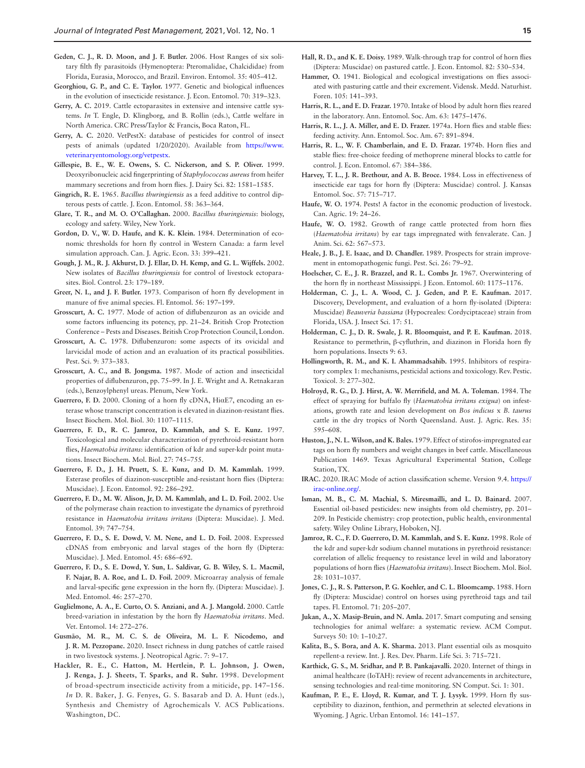- <span id="page-16-14"></span>**Geden, C. J., R. D. Moon, and J. F. Butler.** 2006. Host Ranges of six solitary filth fly parasitoids (Hymenoptera: Pteromalidae, Chalcididae) from Florida, Eurasia, Morocco, and Brazil. Environ. Entomol. 35: 405–412.
- <span id="page-16-29"></span>**Georghiou, G. P., and C. E. Taylor.** 1977. Genetic and biological influences in the evolution of insecticide resistance. J. Econ. Entomol. 70: 319–323.
- <span id="page-16-10"></span>**Gerry, A. C.** 2019. Cattle ectoparasites in extensive and intensive cattle systems. *In* T. Engle, D. Klingborg, and B. Rollin (eds.), Cattle welfare in North America. CRC Press/Taylor & Francis, Boca Raton, FL.
- <span id="page-16-20"></span>**Gerry, A. C.** 2020. VetPestX: database of pesticides for control of insect pests of animals (updated 1/20/2020). Available from [https://www.](https://www.veterinaryentomology.org/vetpestx) [veterinaryentomology.org/vetpestx](https://www.veterinaryentomology.org/vetpestx).
- <span id="page-16-7"></span>**Gillespie, B. E., W. E. Owens, S. C. Nickerson, and S. P. Oliver.** 1999. Deoxyribonucleic acid fingerprinting of *Staphylococcus aureus* from heifer mammary secretions and from horn flies. J. Dairy Sci. 82: 1581–1585.
- <span id="page-16-19"></span>**Gingrich, R. E.** 1965. *Bacillus thuringiensis* as a feed additive to control dipterous pests of cattle. J. Econ. Entomol. 58: 363–364.
- <span id="page-16-18"></span>**Glare, T. R., and M. O. O'Callaghan.** 2000. *Bacillus thuringiensis*: biology, ecology and safety. Wiley, New York.
- <span id="page-16-8"></span>**Gordon, D. V., W. D. Haufe, and K. K. Klein.** 1984. Determination of economic thresholds for horn fly control in Western Canada: a farm level simulation approach. Can. J. Agric. Econ. 33: 399–421.
- <span id="page-16-17"></span>**Gough, J. M., R. J. Akhurst, D. J. Ellar, D. H. Kemp, and G. L. Wijffels.** 2002. New isolates of *Bacillus thuringiensis* for control of livestock ectoparasites. Biol. Control. 23: 179–189.
- <span id="page-16-0"></span>**Greer, N. I., and J. F. Butler.** 1973. Comparison of horn fly development in manure of five animal species. Fl. Entomol. 56: 197–199.
- <span id="page-16-22"></span>**Grosscurt, A. C.** 1977. Mode of action of diflubenzuron as an ovicide and some factors influencing its potency, pp. 21–24. British Crop Protection Conference – Pests and Diseases. British Crop Protection Council, London.
- <span id="page-16-23"></span>**Grosscurt, A. C.** 1978. Diflubenzuron: some aspects of its ovicidal and larvicidal mode of action and an evaluation of its practical possibilities. Pest. Sci. 9: 373–383.
- <span id="page-16-24"></span>**Grosscurt, A. C., and B. Jongsma.** 1987. Mode of action and insecticidal properties of diflubenzuron, pp. 75–99. In J. E. Wright and A. Retnakaran (eds.), Benzoylphenyl ureas. Plenum, New York.
- <span id="page-16-34"></span>**Guerrero, F. D.** 2000. Cloning of a horn fly cDNA, HiαE7, encoding an esterase whose transcript concentration is elevated in diazinon-resistant flies. Insect Biochem. Mol. Biol. 30: 1107–1115.
- <span id="page-16-35"></span>**Guerrero, F. D., R. C. Jamroz, D. Kammlah, and S. E. Kunz.** 1997. Toxicological and molecular characterization of pyrethroid-resistant horn flies, *Haematobia irritans*: identification of kdr and super-kdr point mutations. Insect Biochem. Mol. Biol. 27: 745–755.
- <span id="page-16-33"></span>**Guerrero, F. D., J. H. Pruett, S. E. Kunz, and D. M. Kammlah.** 1999. Esterase profiles of diazinon-susceptible and-resistant horn flies (Diptera: Muscidae). J. Econ. Entomol. 92: 286–292.
- <span id="page-16-37"></span>**Guerrero, F. D., M. W. Alison, Jr, D. M. Kammlah, and L. D. Foil.** 2002. Use of the polymerase chain reaction to investigate the dynamics of pyrethroid resistance in *Haematobia irritans irritans* (Diptera: Muscidae). J. Med. Entomol. 39: 747–754.
- <span id="page-16-40"></span>**Guerrero, F. D., S. E. Dowd, V. M. Nene, and L. D. Foil.** 2008. Expressed cDNAS from embryonic and larval stages of the horn fly (Diptera: Muscidae). J. Med. Entomol. 45: 686–692.
- <span id="page-16-41"></span>**Guerrero, F. D., S. E. Dowd, Y. Sun, L. Saldivar, G. B. Wiley, S. L. Macmil, F. Najar, B. A. Roe, and L. D. Foil.** 2009. Microarray analysis of female and larval-specific gene expression in the horn fly. (Diptera: Muscidae). J. Med. Entomol. 46: 257–270.
- <span id="page-16-39"></span>**Guglielmone, A. A., E. Curto, O. S. Anziani, and A. J. Mangold.** 2000. Cattle breed‐variation in infestation by the horn fly *Haematobia irritans*. Med. Vet. Entomol. 14: 272–276.
- <span id="page-16-11"></span>**Gusmão, M. R., M. C. S. de Oliveira, M. L. F. Nicodemo, and J. R. M. Pezzopane.** 2020. Insect richness in dung patches of cattle raised in two livestock systems. J. Neotropical Agric. 7: 9–17.
- <span id="page-16-26"></span>**Hackler, R. E., C. Hatton, M. Hertlein, P. L. Johnson, J. Owen, J. Renga, J. J. Sheets, T. Sparks, and R. Suhr.** 1998. Development of broad-spectrum insecticide activity from a miticide, pp. 147–156. *In* D. R. Baker, J. G. Fenyes, G. S. Basarab and D. A. Hunt (eds.), Synthesis and Chemistry of Agrochemicals V. ACS Publications. Washington, DC.
- <span id="page-16-12"></span>**Hall, R. D., and K. E. Doisy.** 1989. Walk-through trap for control of horn flies (Diptera: Muscidae) on pastured cattle. J. Econ. Entomol. 82: 530–534.
- <span id="page-16-13"></span>Hammer, O. 1941. Biological and ecological investigations on flies associated with pasturing cattle and their excrement. Vidensk. Medd. Naturhist. Foren. 105: 141–393.
- <span id="page-16-2"></span>**Harris, R. L., and E. D. Frazar.** 1970. Intake of blood by adult horn flies reared in the laboratory. Ann. Entomol. Soc. Am. 63: 1475–1476.
- <span id="page-16-1"></span>**Harris, R. L., J. A. Miller, and E. D. Frazer.** 1974a. Horn flies and stable flies: feeding activity. Ann. Entomol. Soc. Am. 67: 891–894.
- <span id="page-16-21"></span>**Harris, R. L., W. F. Chamberlain, and E. D. Frazar.** 1974b. Horn flies and stable flies: free-choice feeding of methoprene mineral blocks to cattle for control. J. Econ. Entomol. 67: 384–386.
- <span id="page-16-30"></span>**Harvey, T. L., J. R. Brethour, and A. B. Broce.** 1984. Loss in effectiveness of insecticide ear tags for horn fly (Diptera: Muscidae) control. J. Kansas Entomol. Soc. 57: 715–717.
- <span id="page-16-9"></span>**Haufe, W. O.** 1974. Pests! A factor in the economic production of livestock. Can. Agric. 19: 24–26.
- <span id="page-16-5"></span>Haufe, W. O. 1982. Growth of range cattle protected from horn flies (*Haematobia irritans*) by ear tags impregnated with fenvalerate. Can. J Anim. Sci. 62: 567–573.
- <span id="page-16-16"></span>**Heale, J. B., J. E. Isaac, and D. Chandler.** 1989. Prospects for strain improvement in entomopathogenic fungi. Pest. Sci. 26: 79–92.
- <span id="page-16-3"></span>**Hoelscher, C. E., J. R. Brazzel, and R. L. Combs Jr.** 1967. Overwintering of the horn fly in northeast Mississippi. J Econ. Entomol. 60: 1175–1176.
- <span id="page-16-15"></span>**Holderman, C. J., L. A. Wood, C. J. Geden, and P. E. Kaufman.** 2017. Discovery, Development, and evaluation of a horn fly-isolated (Diptera: Muscidae) *Beauveria bassiana* (Hypocreales: Cordyciptaceae) strain from Florida, USA. J. Insect Sci. 17: 51.
- <span id="page-16-32"></span>**Holderman, C. J., D. R. Swale, J. R. Bloomquist, and P. E. Kaufman.** 2018. Resistance to permethrin, β-cyfluthrin, and diazinon in Florida horn fly horn populations. Insects 9: 63.
- <span id="page-16-25"></span>**Hollingworth, R. M., and K. I. Ahammadsahib.** 1995. Inhibitors of respiratory complex 1: mechanisms, pesticidal actions and toxicology. Rev. Pestic. Toxicol. 3: 277–302.
- <span id="page-16-38"></span>**Holroyd, R. G., D. J. Hirst, A. W. Merrifield, and M. A. Toleman.** 1984. The effect of spraying for buffalo fly (*Haematobia irritans exigua*) on infestations, growth rate and lesion development on *Bos indicus* x *B. taurus* cattle in the dry tropics of North Queensland. Aust. J. Agric. Res. 35: 595–608.
- <span id="page-16-6"></span>**Huston, J., N. L. Wilson, and K. Bales.** 1979. Effect of stirofos-impregnated ear tags on horn fly numbers and weight changes in beef cattle. Miscellaneous Publication 1469. Texas Agricultural Experimental Station, College Station, TX.
- <span id="page-16-28"></span>**IRAC.** 2020. IRAC Mode of action classification scheme. Version 9.4. [https://](https://irac-online.org/) [irac-online.org/](https://irac-online.org/).
- <span id="page-16-27"></span>**Isman, M. B., C. M. Machial, S. Miresmailli, and L. D. Bainard.** 2007. Essential oil-based pesticides: new insights from old chemistry, pp. 201– 209. In Pesticide chemistry: crop protection, public health, environmental safety. Wiley Online Library, Hoboken, NJ.
- <span id="page-16-36"></span>**Jamroz, R. C., F. D. Guerrero, D. M. Kammlah, and S. E. Kunz.** 1998. Role of the kdr and super-kdr sodium channel mutations in pyrethroid resistance: correlation of allelic frequency to resistance level in wild and laboratory populations of horn flies (*Haematobia irritans*). Insect Biochem. Mol. Biol. 28: 1031–1037.
- <span id="page-16-4"></span>**Jones, C. J., R. S. Patterson, P. G. Koehler, and C. L. Bloomcamp.** 1988. Horn fly (Diptera: Muscidae) control on horses using pyrethroid tags and tail tapes. Fl. Entomol. 71: 205–207.
- <span id="page-16-42"></span>**Jukan, A., X. Masip-Bruin, and N. Amla.** 2017. Smart computing and sensing technologies for animal welfare: a systematic review. ACM Comput. Surveys 50: 10: 1–10:27.
- <span id="page-16-44"></span>**Kalita, B., S. Bora, and A. K. Sharma.** 2013. Plant essential oils as mosquito repellent-a review. Int. J. Res. Dev. Pharm. Life Sci. 3: 715–721.
- <span id="page-16-43"></span>**Karthick, G. S., M. Sridhar, and P. B. Pankajavalli.** 2020. Internet of things in animal healthcare (IoTAH): review of recent advancements in architecture, sensing technologies and real-time monitoring. SN Comput. Sci. 1: 301.
- <span id="page-16-31"></span>**Kaufman, P. E., E. Lloyd, R. Kumar, and T. J. Lysyk.** 1999. Horn fly susceptibility to diazinon, fenthion, and permethrin at selected elevations in Wyoming. J Agric. Urban Entomol. 16: 141–157.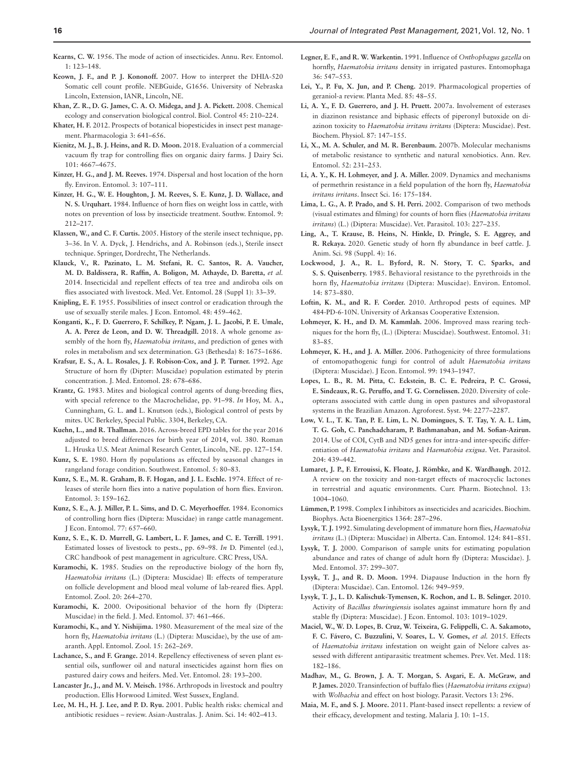- <span id="page-17-24"></span>**Kearns, C. W.** 1956. The mode of action of insecticides. Annu. Rev. Entomol. 1: 123–148.
- <span id="page-17-13"></span>**Keown, J. F., and P. J. Kononoff.** 2007. How to interpret the DHIA-520 Somatic cell count profile. NEBGuide, G1656. University of Nebraska Lincoln, Extension, IANR, Lincoln, NE.
- <span id="page-17-33"></span>**Khan, Z. R., D. G. James, C. A. O. Midega, and J. A. Pickett.** 2008. Chemical ecology and conservation biological control. Biol. Control 45: 210–224.
- <span id="page-17-26"></span>**Khater, H. F.** 2012. Prospects of botanical biopesticides in insect pest management. Pharmacologia 3: 641–656.
- <span id="page-17-18"></span>**Kienitz, M. J., B. J. Heins, and R. D. Moon.** 2018. Evaluation of a commercial vacuum fly trap for controlling flies on organic dairy farms. J Dairy Sci. 101: 4667–4675.
- <span id="page-17-14"></span>**Kinzer, H. G., and J. M. Reeves.** 1974. Dispersal and host location of the horn fly. Environ. Entomol. 3: 107–111.
- <span id="page-17-12"></span>**Kinzer, H. G., W. E. Houghton, J. M. Reeves, S. E. Kunz, J. D. Wallace, and N. S. Urquhart.** 1984. Influence of horn flies on weight loss in cattle, with notes on prevention of loss by insecticide treatment. Southw. Entomol. 9: 212–217.
- <span id="page-17-41"></span>**Klassen, W., and C. F. Curtis.** 2005. History of the sterile insect technique, pp. 3–36. In V. A. Dyck, J. Hendrichs, and A. Robinson (eds.), Sterile insect technique. Springer, Dordrecht, The Netherlands.
- <span id="page-17-29"></span>**Klauck, V., R. Pazinato, L. M. Stefani, R. C. Santos, R. A. Vaucher, M. D. Baldissera, R. Raffin, A. Boligon, M. Athayde, D. Baretta,** *et al.* 2014. Insecticidal and repellent effects of tea tree and andiroba oils on flies associated with livestock. Med. Vet. Entomol. 28 (Suppl 1): 33–39.
- <span id="page-17-40"></span>**Knipling, E. F.** 1955. Possibilities of insect control or eradication through the use of sexually sterile males. J Econ. Entomol. 48: 459–462.
- <span id="page-17-44"></span>**Konganti, K., F. D. Guerrero, F. Schilkey, P. Ngam, J. L. Jacobi, P. E. Umale, A. A. Perez de Leon, and D. W. Threadgill.** 2018. A whole genome assembly of the horn fly, *Haematobia irritans*, and prediction of genes with roles in metabolism and sex determination. G3 (Bethesda) 8: 1675–1686.
- <span id="page-17-3"></span>**Krafsur, E. S., A. L. Rosales, J. F. Robison-Cox, and J. P. Turner.** 1992. Age Structure of horn fly (Dipter: Muscidae) population estimated by pterin concentration. J. Med. Entomol. 28: 678–686.
- <span id="page-17-20"></span>**Krantz, G.** 1983. Mites and biological control agents of dung-breeding flies, with special reference to the Macrochelidae, pp. 91–98. *In* Hoy, M. A.**,**  Cunningham, G. L. **and** L. Knutson (eds.), Biological control of pests by mites. UC Berkeley, Special Public. 3304, Berkeley, CA.
- <span id="page-17-45"></span>**Kuehn, L., and R. Thallman.** 2016. Across-breed EPD tables for the year 2016 adjusted to breed differences for birth year of 2014, vol. 380. Roman L. Hruska U.S. Meat Animal Research Center, Lincoln, NE. pp. 127–154.
- <span id="page-17-8"></span>**Kunz, S. E.** 1980. Horn fly populations as effected by seasonal changes in rangeland forage condition. Southwest. Entomol. 5: 80–83.
- <span id="page-17-42"></span>**Kunz, S. E., M. R. Graham, B. F. Hogan, and J. L. Eschle.** 1974. Effect of releases of sterile horn flies into a native population of horn flies. Environ. Entomol. 3: 159–162.
- <span id="page-17-11"></span>**Kunz, S. E., A. J. Miller, P. L. Sims, and D. C. Meyerhoeffer.** 1984. Economics of controlling horn flies (Diptera: Muscidae) in range cattle management. J Econ. Entomol. 77: 657–660.
- <span id="page-17-2"></span>**Kunz, S. E., K. D. Murrell, G. Lambert, L. F. James, and C. E. Terrill.** 1991. Estimated losses of livestock to pests., pp. 69–98. *In* D. Pimentel (ed.), CRC handbook of pest management in agriculture. CRC Press, USA.
- <span id="page-17-7"></span>**Kuramochi, K.** 1985. Studies on the reproductive biology of the horn fly, *Haematobia irritans* (L.) (Diptera: Muscidae) II: effects of temperature on follicle development and blood meal volume of lab-reared flies. Appl. Entomol. Zool. 20: 264–270.
- <span id="page-17-5"></span>**Kuramochi, K.** 2000. Ovipositional behavior of the horn fly (Diptera: Muscidae) in the field. J. Med. Entomol. 37: 461–466.
- <span id="page-17-6"></span>**Kuramochi, K., and Y. Nishijima.** 1980. Measurement of the meal size of the horn fly, *Haematobia irritans* (L.) (Diptera: Muscidae), by the use of amaranth. Appl. Entomol. Zool. 15: 262–269.
- <span id="page-17-31"></span>**Lachance, S., and F. Grange.** 2014. Repellency effectiveness of seven plant essential oils, sunflower oil and natural insecticides against horn flies on pastured dairy cows and heifers. Med. Vet. Entomol. 28: 193–200.
- <span id="page-17-1"></span>**Lancaster Jr., J., and M. V. Meisch.** 1986. Arthropods in livestock and poultry production. Ellis Horwood Limited. West Sussex, England.
- <span id="page-17-34"></span>**Lee, M. H., H. J. Lee, and P. D. Ryu.** 2001. Public health risks: chemical and antibiotic residues – review. Asian-Australas. J. Anim. Sci. 14: 402–413.
- <span id="page-17-19"></span>**Legner, E. F., and R. W. Warkentin.** 1991. Influence of *Onthophagus gazella* on hornfly, *Haematobia irritans* density in irrigated pastures. Entomophaga 36: 547–553.
- <span id="page-17-30"></span>**Lei, Y., P. Fu, X. Jun, and P. Cheng.** 2019. Pharmacological properties of geraniol-a review. Planta Med. 85: 48–55.
- <span id="page-17-35"></span>**Li, A. Y., F. D. Guerrero, and J. H. Pruett.** 2007a. Involvement of esterases in diazinon resistance and biphasic effects of piperonyl butoxide on diazinon toxicity to *Haematobia irritans irritans* (Diptera: Muscidae). Pest. Biochem. Physiol. 87: 147–155.
- <span id="page-17-37"></span>**Li, X., M. A. Schuler, and M. R. Berenbaum.** 2007b. Molecular mechanisms of metabolic resistance to synthetic and natural xenobiotics. Ann. Rev. Entomol. 52: 231–253.
- <span id="page-17-38"></span>**Li, A. Y., K. H. Lohmeyer, and J. A. Miller.** 2009. Dynamics and mechanisms of permethrin resistance in a field population of the horn fly, *Haematobia irritans irritans*. Insect Sci. 16: 175–184.
- <span id="page-17-16"></span>**Lima, L. G., A. P. Prado, and S. H. Perri.** 2002. Comparison of two methods (visual estimates and filming) for counts of horn flies (*Haematobia irritans irritans*) (L.) (Diptera: Muscidae). Vet. Parasitol. 103: 227–235.
- <span id="page-17-39"></span>**Ling, A., T. Krause, B. Heins, N. Hinkle, D. Pringle, S. E. Aggrey, and R. Rekaya.** 2020. Genetic study of horn fly abundance in beef cattle. J. Anim. Sci. 98 (Suppl. 4): 16.
- <span id="page-17-36"></span>**Lockwood, J. A., R. L. Byford, R. N. Story, T. C. Sparks, and S. S. Quisenberry.** 1985. Behavioral resistance to the pyrethroids in the horn fly, *Haematobia irritans* (Diptera: Muscidae). Environ. Entomol. 14: 873–880.
- <span id="page-17-10"></span>**Loftin, K. M., and R. F. Corder.** 2010. Arthropod pests of equines. MP 484-PD-6-10N. University of Arkansas Cooperative Extension.
- <span id="page-17-43"></span>**Lohmeyer, K. H., and D. M. Kammlah.** 2006. Improved mass rearing techniques for the horn fly, (L.) (Diptera: Muscidae). Southwest. Entomol. 31: 83–85.
- <span id="page-17-21"></span>**Lohmeyer, K. H., and J. A. Miller.** 2006. Pathogenicity of three formulations of entomopathogenic fungi for control of adult *Haematobia irritans* (Diptera: Muscidae). J Econ. Entomol. 99: 1943–1947.
- <span id="page-17-17"></span>**Lopes, L. B., R. M. Pitta, C. Eckstein, B. C. E. Pedreira, P. C. Grossi, E. Sindeaux, R. G. Peruffo, and T. G. Cornelissen.** 2020. Diversity of coleopterans associated with cattle dung in open pastures and silvopastoral systems in the Brazilian Amazon. Agroforest. Syst. 94: 2277–2287.
- <span id="page-17-0"></span>**Low, V. L., T. K. Tan, P. E. Lim, L. N. Domingues, S. T. Tay, Y. A. L. Lim, T. G. Goh, C. Panchadcharam, P. Bathmanaban, and M. Sofian-Azirun.**  2014. Use of COI, CytB and ND5 genes for intra-and inter-specific differentiation of *Haematobia irritans* and *Haematobia exigua*. Vet. Parasitol. 204: 439–442.
- <span id="page-17-32"></span>**Lumaret, J. P., F. Errouissi, K. Floate, J. Römbke, and K. Wardhaugh.** 2012. A review on the toxicity and non-target effects of macrocyclic lactones in terrestrial and aquatic environments. Curr. Pharm. Biotechnol. 13: 1004–1060.
- <span id="page-17-25"></span>**Lümmen, P.** 1998. Complex I inhibitors as insecticides and acaricides. Biochim. Biophys. Acta Bioenergitics 1364: 287–296.
- <span id="page-17-4"></span>**Lysyk, T. J.** 1992. Simulating development of immature horn flies, *Haematobia irritans* (L.) (Diptera: Muscidae) in Alberta. Can. Entomol. 124: 841–851.
- <span id="page-17-15"></span>**Lysyk, T. J.** 2000. Comparison of sample units for estimating population abundance and rates of change of adult horn fly (Diptera: Muscidae). J. Med. Entomol. 37: 299–307.
- <span id="page-17-9"></span>**Lysyk, T. J., and R. D. Moon.** 1994. Diapause Induction in the horn fly (Diptera: Muscidae). Can. Entomol. 126: 949–959.
- <span id="page-17-22"></span>**Lysyk, T. J., L. D. Kalischuk-Tymensen, K. Rochon, and L. B. Selinger.** 2010. Activity of *Bacillus thuringiensis* isolates against immature horn fly and stable fly (Diptera: Muscidae). J Econ. Entomol. 103: 1019–1029.
- <span id="page-17-27"></span>**Maciel, W., W. D. Lopes, B. Cruz, W. Teixeira, G. Felippelli, C. A. Sakamoto, F. C. Fávero, C. Buzzulini, V. Soares, L. V. Gomes,** *et al.* 2015. Effects of *Haematobia irritans* infestation on weight gain of Nelore calves assessed with different antiparasitic treatment schemes. Prev. Vet. Med. 118: 182–186.
- <span id="page-17-23"></span>**Madhav, M., G. Brown, J. A. T. Morgan, S. Asgari, E. A. McGraw, and P. James.** 2020. Transinfection of buffalo flies (*Haematobia irritans exigua*) with *Wolbachia* and effect on host biology. Parasit. Vectors 13: 296.
- <span id="page-17-28"></span>**Maia, M. F., and S. J. Moore.** 2011. Plant-based insect repellents: a review of their efficacy, development and testing. Malaria J. 10: 1–15.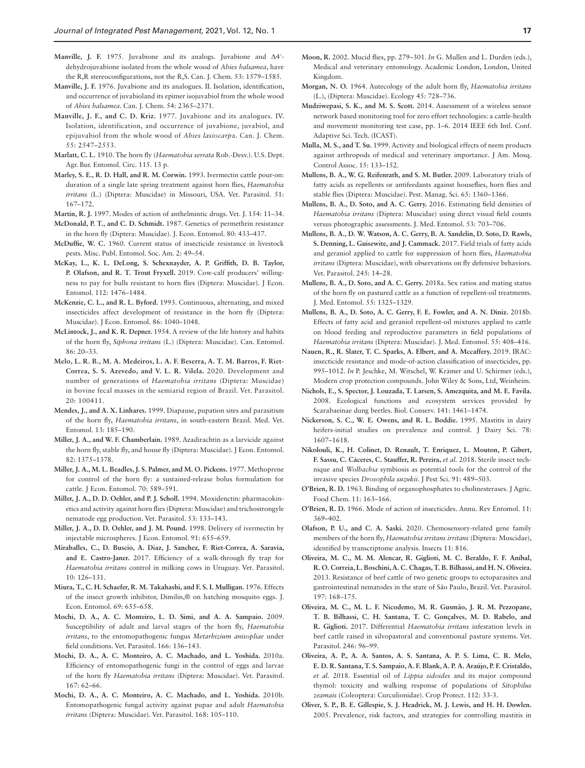- <span id="page-18-24"></span>**Manville, J. F.** 1975. Juvabione and its analogs. Juvabione and Δ4′ dehydrojuvabione isolated from the whole wood of *Abies balsamea*, have the R,R stereoconfigurations, not the R,S. Can. J. Chem. 53: 1579–1585.
- <span id="page-18-25"></span>**Manville, J. F.** 1976. Juvabione and its analogues. II. Isolation, identification, and occurrence of juvabioland its epimer isojuvabiol from the whole wood of *Abies balsamea*. Can. J. Chem. 54: 2365–2371.
- <span id="page-18-26"></span>**Manville, J. F., and C. D. Kriz.** 1977. Juvabione and its analogues. IV. Isolation, identification, and occurrence of juvabione, juvabiol, and epijuvabiol from the whole wood of *Abies lasiocarp*a. Can. J. Chem. 55: 2547–2553.
- <span id="page-18-12"></span>**Marlatt, C. L.** 1910. The horn fly (*Haematobia serrata* Rob.-Desv.). U.S. Dept. Agr. Bur. Entomol. Circ. 115. 13 p.
- <span id="page-18-17"></span>**Marley, S. E., R. D. Hall, and R. M. Corwin.** 1993. Ivermectin cattle pour-on: duration of a single late spring treatment against horn flies, *Haematobia irritans* (L.) (Diptera: Muscidae) in Missouri, USA. Vet. Parasitol. 51: 167–172.
- <span id="page-18-27"></span>**Martin, R. J.** 1997. Modes of action of anthelmintic drugs. Vet. J. 154: 11–34.
- <span id="page-18-34"></span>**McDonald, P. T., and C. D. Schmidt.** 1987. Genetics of permethrin resistance in the horn fly (Diptera: Muscidae). J. Econ. Entomol. 80: 433–437.
- <span id="page-18-33"></span>**McDuffie, W. C.** 1960. Current status of insecticide resistance in livestock pests. Misc. Publ. Entomol. Soc. Am. 2: 49–54.
- <span id="page-18-6"></span>**McKay, L., K. L. DeLong, S. Schexnayder, A. P. Griffith, D. B. Taylor, P. Olafson, and R. T. Trout Fryxell.** 2019. Cow-calf producers' willingness to pay for bulls resistant to horn flies (Diptera: Muscidae). J Econ. Entomol. 112: 1476–1484.
- <span id="page-18-35"></span>**McKenzie, C. L., and R. L. Byford.** 1993. Continuous, alternating, and mixed insecticides affect development of resistance in the horn fly (Diptera: Muscidae). J Econ. Entomol. 86: 1040–1048.
- <span id="page-18-1"></span>**McLintock, J., and K. R. Depner.** 1954. A review of the life history and habits of the horn fly, *Siphona irritans* (L.) (Diptera: Muscidae). Can. Entomol. 86: 20–33.
- <span id="page-18-2"></span>**Melo, L. R. B., M. A. Medeiros, L. A. F. Beserra, A. T. M. Barros, F. Riet-Correa, S. S. Azevedo, and V. L. R. Vilela.** 2020. Development and number of generations of *Haematobia irritans* (Diptera: Muscidae) in bovine fecal masses in the semiarid region of Brazil. Vet. Parasitol. 20: 100411.
- <span id="page-18-13"></span>**Mendes, J., and A. X. Linhares.** 1999. Diapause, pupation sites and parasitism of the horn fly, *Haematobia irritans*, in south-eastern Brazil. Med. Vet. Entomol. 13: 185–190.
- <span id="page-18-38"></span>**Miller, J. A., and W. F. Chamberlain.** 1989. Azadirachtin as a larvicide against the horn fly, stable fly, and house fly (Diptera: Muscidae). J Econ. Entomol. 82: 1375–1378.
- <span id="page-18-20"></span>**Miller, J. A., M. L. Beadles, J. S. Palmer, and M. O. Pickens.** 1977. Methoprene for control of the horn fly: a sustained-release bolus formulation for cattle. J Econ. Entomol. 70: 589–591.
- <span id="page-18-19"></span>**Miller, J. A., D. D. Oehler, and P. J. Scholl.** 1994. Moxidenctin: pharmacokinetics and activity against horn flies (Diptera: Muscidae) and trichostrongyle nematode egg production. Vet. Parasitol. 53: 133–143.
- <span id="page-18-18"></span>**Miller, J. A., D. D. Oehler, and J. M. Pound.** 1998. Delivery of ivermectin by injectable microspheres. J Econ. Entomol. 91: 655–659.
- <span id="page-18-11"></span>**Miraballes, C., D. Buscio, A. Diaz, J. Sanchez, F. Riet-Correa, A. Saravia, and E. Castro-Janer.** 2017. Efficiency of a walk-through fly trap for *Haematobia irritans* control in milking cows in Uruguay. Vet. Parasitol. 10: 126–131.
- <span id="page-18-23"></span>**Miura, T., C. H. Schaefer, R. M. Takahashi, and F. S. I. Mulligan.** 1976. Effects of the insect growth inhibitor, Dimilin,® on hatching mosquito eggs. J. Econ. Entomol. 69: 655–658.
- <span id="page-18-16"></span>**Mochi, D. A., A. C. Monteiro, L. D. Simi, and A. A. Sampaio.** 2009. Susceptibility of adult and larval stages of the horn fly, *Haematobia irritans*, to the entomopathogenic fungus *Metarhizium anisopliae* under field conditions. Vet. Parasitol. 166: 136–143.
- <span id="page-18-14"></span>**Mochi, D. A., A. C. Monteiro, A. C. Machado, and L. Yoshida.** 2010a. Efficiency of entomopathogenic fungi in the control of eggs and larvae of the horn fly *Haematobia irritans* (Diptera: Muscidae). Vet. Parasitol. 167: 62–66.
- <span id="page-18-15"></span>**Mochi, D. A., A. C. Monteiro, A. C. Machado, and L. Yoshida.** 2010b. Entomopathogenic fungal activity against pupae and adult *Haematobia irritans* (Diptera: Muscidae). Vet. Parasitol. 168: 105–110.
- <span id="page-18-0"></span>**Moon, R.** 2002. Mucid flies, pp. 279–301. *In* G. Mullen and L. Durden (eds.), Medical and veterinary entomology. Academic London, London, United Kingdom.
- <span id="page-18-7"></span>**Morgan, N. O.** 1964. Autecology of the adult horn fly, *Haematobia irritans* (L.), (Diptera: Muscidae). Ecology 45: 728–736.
- <span id="page-18-41"></span>**Mudziwepasi, S. K., and M. S. Scott.** 2014. Assessment of a wireless sensor network based monitoring tool for zero effort technologies: a cattle-health and movement monitoring test case, pp. 1–6. 2014 IEEE 6th Intl. Conf. Adaptive Sci. Tech. (ICAST).
- <span id="page-18-39"></span>**Mulla, M. S., and T. Su.** 1999. Activity and biological effects of neem products against arthropods of medical and veterinary importance. J Am. Mosq. Control Assoc. 15: 133–152.
- <span id="page-18-31"></span>**Mullens, B. A., W. G. Reifenrath, and S. M. Butler.** 2009. Laboratory trials of fatty acids as repellents or antifeedants against houseflies, horn flies and stable flies (Diptera: Muscidae). Pest. Manag. Sci. 65: 1360–1366.
- <span id="page-18-8"></span>**Mullens, B. A., D. Soto, and A. C. Gerry.** 2016. Estimating field densities of *Haematobia irritans* (Diptera: Muscidae) using direct visual field counts versus photographic assessments. J. Med. Entomol. 53: 703–706.
- <span id="page-18-30"></span>**Mullens, B. A., D. W. Watson, A. C. Gerry, B. A. Sandelin, D. Soto, D. Rawls, S. Denning, L. Guisewite, and J. Cammack.** 2017. Field trials of fatty acids and geraniol applied to cattle for suppression of horn flies, *Haematobia irritans* (Diptera: Muscidae), with observations on fly defensive behaviors. Vet. Parasitol. 245: 14–28.
- <span id="page-18-3"></span>**Mullens, B. A., D. Soto, and A. C. Gerry.** 2018a. Sex ratios and mating status of the horn fly on pastured cattle as a function of repellent-oil treatments. J. Med. Entomol. 55: 1325–1329.
- <span id="page-18-32"></span>**Mullens, B. A., D. Soto, A. C. Gerry, F. E. Fowler, and A. N. Diniz.** 2018b. Effects of fatty acid and geraniol repellent-oil mixtures applied to cattle on blood feeding and reproductive parameters in field populations of *Haematobia irritans* (Diptera: Muscidae). J. Med. Entomol. 55: 408–416.
- <span id="page-18-28"></span>**Nauen, R., R. Slater, T. C. Sparks, A. Elbert, and A. Mccaffery.** 2019. IRAC: insecticide resistance and mode-of-action classification of insecticides, pp. 995–1012. *In* P. Jeschke, M. Witschel, W. Krämer and U. Schirmer (eds.), Modern crop protection compounds. John Wiley & Sons, Ltd, Weinheim.
- <span id="page-18-9"></span>**Nichols, E., S. Spector, J. Louzada, T. Larsen, S. Amezquita, and M. E. Favila.**  2008. Ecological functions and ecosystem services provided by Scarabaeinae dung beetles. Biol. Conserv. 141: 1461–1474.
- <span id="page-18-4"></span>**Nickerson, S. C., W. E. Owens, and R. L. Boddie.** 1995. Mastitis in dairy heifers-initial studies on prevalence and control. J Dairy Sci. 78: 1607–1618.
- <span id="page-18-37"></span>**Nikolouli, K., H. Colinet, D. Renault, T. Enriquez, L. Mouton, P. Gibert, F. Sassu, C. Cáceres, C. Stauffer, R. Pereira,** *et al.* 2018. Sterile insect technique and *Wolbachia* symbiosis as potential tools for the control of the invasive species *Drosophila suzukii*. J Pest Sci. 91: 489–503.
- <span id="page-18-21"></span>**O'Brien, R. D.** 1963. Binding of organophosphates to cholinesterases. J Agric. Food Chem. 11: 163–166.
- <span id="page-18-22"></span>**O'Brien, R. D.** 1966. Mode of action of insecticides. Annu. Rev Entomol. 11: 369–402.
- <span id="page-18-40"></span>**Olafson, P. U., and C. A. Saski.** 2020. Chemosensory-related gene family members of the horn fly, *Haematobia irritans irritans* (Diptera: Muscidae), identified by transcriptome analysis. Insects 11: 816.
- <span id="page-18-36"></span>**Oliveira, M. C., M. M. Alencar, R. Giglioti, M. C. Beraldo, F. F. Aníbal, R. O. Correia, L. Boschini, A. C. Chagas, T. B. Bilhassi, and H. N. Oliveira.**  2013. Resistance of beef cattle of two genetic groups to ectoparasites and gastrointestinal nematodes in the state of São Paulo, Brazil. Vet. Parasitol. 197: 168–175.
- <span id="page-18-10"></span>**Oliveira, M. C., M. L. F. Nicodemo, M. R. Gusmão, J. R. M. Pezzopane, T. B. Bilhassi, C. H. Santana, T. C. Gonçalves, M. D. Rabelo, and R. Giglioti.** 2017. Differential *Haematobia irritans* infestation levels in beef cattle raised in silvopastoral and conventional pasture systems. Vet. Parasitol. 246: 96–99.
- <span id="page-18-29"></span>**Oliveira, A. P., A. A. Santos, A. S. Santana, A. P. S. Lima, C. R. Melo, E. D. R. Santana, T. S. Sampaio, A. F. Blank, A. P. A. Araújo, P. F. Cristaldo,**  *et al.* 2018. Essential oil of *Lippia sidoides* and its major compound thymol: toxicity and walking response of populations of *Sitophilus zeamais* (Coleoptera: Curculionidae). Crop Protect. 112: 33-3.
- <span id="page-18-5"></span>**Oliver, S. P., B. E. Gillespie, S. J. Headrick, M. J. Lewis, and H. H. Dowlen.**  2005. Prevalence, risk factors, and strategies for controlling mastitis in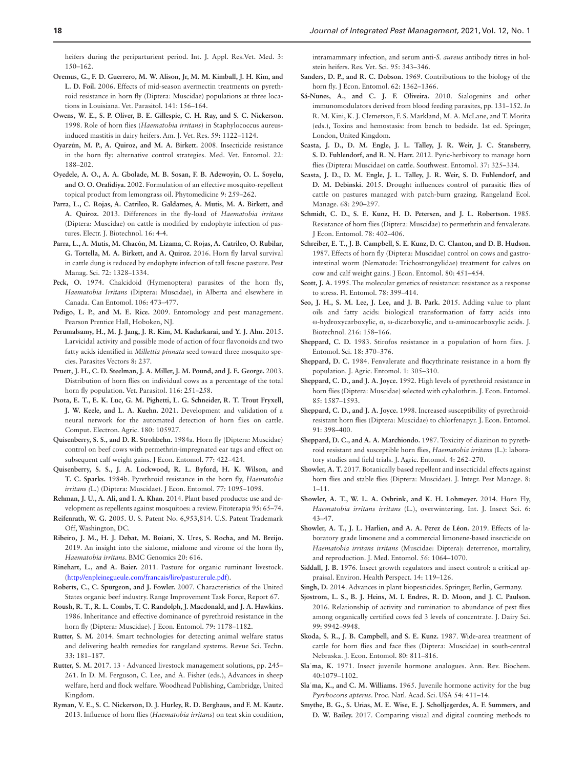heifers during the periparturient period. Int. J. Appl. Res.Vet. Med. 3: 150–162.

- <span id="page-19-36"></span>**Oremus, G., F. D. Guerrero, M. W. Alison, Jr, M. M. Kimball, J. H. Kim, and L. D. Foil.** 2006. Effects of mid-season avermectin treatments on pyrethroid resistance in horn fly (Diptera: Muscidae) populations at three locations in Louisiana. Vet. Parasitol. 141: 156–164.
- <span id="page-19-3"></span>**Owens, W. E., S. P. Oliver, B. E. Gillespie, C. H. Ray, and S. C. Nickerson.**  1998. Role of horn flies (*Haematobia irritans*) in Staphylococcus aureusinduced mastitis in dairy heifers. Am. J. Vet. Res. 59: 1122–1124.
- <span id="page-19-17"></span>**Oyarzún, M. P., A. Quiroz, and M. A. Birkett.** 2008. Insecticide resistance in the horn fly: alternative control strategies. Med. Vet. Entomol. 22: 188–202.
- <span id="page-19-25"></span>**Oyedele, A. O., A. A. Gbolade, M. B. Sosan, F. B. Adewoyin, O. L. Soyelu, and O. O. Orafidiya.** 2002. Formulation of an effective mosquito-repellent topical product from lemongrass oil. Phytomedicine 9: 259–262.
- <span id="page-19-13"></span>**Parra, L., C. Rojas, A. Catrileo, R. Galdames, A. Mutis, M. A. Birkett, and A. Quiroz.** 2013. Differences in the fly-load of *Haematobia irritans* (Diptera: Muscidae) on cattle is modified by endophyte infection of pastures. Electr. J. Biotechnol. 16: 4-4.
- <span id="page-19-14"></span>**Parra, L., A. Mutis, M. Chacón, M. Lizama, C. Rojas, A. Catrileo, O. Rubilar, G. Tortella, M. A. Birkett, and A. Quiroz.** 2016. Horn fly larval survival in cattle dung is reduced by endophyte infection of tall fescue pasture. Pest Manag. Sci. 72: 1328–1334.
- <span id="page-19-18"></span>Peck, O. 1974. Chalcidoid (Hymenoptera) parasites of the horn fly, *Haematobia Irritans* (Diptera: Muscidae), in Alberta and elsewhere in Canada. Can Entomol. 106: 473–477.
- <span id="page-19-6"></span>Pedigo, L. P., and M. E. Rice. 2009. Entomology and pest management. Pearson Prentice Hall, Hoboken, NJ.
- <span id="page-19-24"></span>**Perumalsamy, H., M. J. Jang, J. R. Kim, M. Kadarkarai, and Y. J. Ahn.** 2015. Larvicidal activity and possible mode of action of four flavonoids and two fatty acids identified in *Millettia pinnata* seed toward three mosquito species. Parasites Vectors 8: 237.
- <span id="page-19-39"></span>**Pruett, J. H., C. D. Steelman, J. A. Miller, J. M. Pound, and J. E. George.** 2003. Distribution of horn flies on individual cows as a percentage of the total horn fly population. Vet. Parasitol. 116: 251–258.
- <span id="page-19-12"></span>**Psota, E. T., E. K. Luc, G. M. Pighetti, L. G. Schneider, R. T. Trout Fryxell, J. W. Keele, and L. A. Kuehn.** 2021. Development and validation of a neural network for the automated detection of horn flies on cattle. Comput. Electron. Agric. 180: 105927.
- <span id="page-19-2"></span>**Quisenberry, S. S., and D. R. Strohbehn.** 1984a. Horn fly (Diptera: Muscidae) control on beef cows with permethrin-impregnated ear tags and effect on subsequent calf weight gains. J Econ. Entomol. 77: 422–424.
- <span id="page-19-31"></span>**Quisenberry, S. S., J. A. Lockwood, R. L. Byford, H. K. Wilson, and T. C. Sparks.** 1984b. Pyrethroid resistance in the horn fly, *Haematobia irritans (*L.) (Diptera: Muscidae). J Econ. Entomol. 77: 1095–1098.
- <span id="page-19-43"></span>**Rehman, J. U., A. Ali, and I. A. Khan.** 2014. Plant based products: use and development as repellents against mosquitoes: a review. Fitoterapia 95: 65–74.
- <span id="page-19-28"></span>**Reifenrath, W. G.** 2005. U. S. Patent No. 6,953,814. U.S. Patent Trademark Off, Washington, DC.
- <span id="page-19-19"></span>**Ribeiro, J. M., H. J. Debat, M. Boiani, X. Ures, S. Rocha, and M. Breijo.**  2019. An insight into the sialome, mialome and virome of the horn fly, *Haematobia irritans*. BMC Genomics 20: 616.
- <span id="page-19-8"></span>**Rinehart, L., and A. Baier.** 2011. Pasture for organic ruminant livestock. (<http://enpleinegueule.com/francais/lire/pasturerule.pdf>).
- <span id="page-19-9"></span>**Roberts, C., C. Spurgeon, and J. Fowler.** 2007. Characteristics of the United States organic beef industry. Range Improvement Task Force, Report 67.
- <span id="page-19-35"></span>**Roush, R. T., R. L. Combs, T. C. Randolph, J. Macdonald, and J. A. Hawkins.**  1986. Inheritance and effective dominance of pyrethroid resistance in the horn fly (Diptera: Muscidae). J Econ. Entomol. 79: 1178-1182.
- <span id="page-19-41"></span>**Rutter, S. M.** 2014. Smart technologies for detecting animal welfare status and delivering health remedies for rangeland systems. Revue Sci. Techn. 33: 181–187.
- <span id="page-19-42"></span>**Rutter, S. M.** 2017. 13 - Advanced livestock management solutions, pp. 245– 261. In D. M. Ferguson**,** C. Lee, and A. Fisher (eds.), Advances in sheep welfare, herd and flock welfare. Woodhead Publishing, Cambridge, United Kingdom.
- <span id="page-19-4"></span>**Ryman, V. E., S. C. Nickerson, D. J. Hurley, R. D. Berghaus, and F. M. Kautz.**  2013. Influence of horn flies (*Haematobia irritans*) on teat skin condition,

intramammary infection, and serum anti-*S. aureus* antibody titres in holstein heifers. Res. Vet. Sci. 95: 343–346.

- <span id="page-19-1"></span>**Sanders, D. P., and R. C. Dobson.** 1969. Contributions to the biology of the horn fly. J Econ. Entomol. 62: 1362–1366.
- <span id="page-19-40"></span>**Sá-Nunes, A., and C. J. F. Oliveira.** 2010. Sialogenins and other immunomodulators derived from blood feeding parasites, pp. 131–152. *In* R. M. Kini, K. J. Clemetson, F. S. Markland, M. A. McLane, and T. Morita (eds.), Toxins and hemostasis: from bench to bedside. 1st ed. Springer, London, United Kingdom.
- <span id="page-19-15"></span>**Scasta, J. D., D. M. Engle, J. L. Talley, J. R. Weir, J. C. Stansberry, S. D. Fuhlendorf, and R. N. Harr.** 2012. Pyric-herbivory to manage horn flies (Diptera: Muscidae) on cattle. Southwest. Entomol. 37: 325–334.
- <span id="page-19-16"></span>**Scasta, J. D., D. M. Engle, J. L. Talley, J. R. Weir, S. D. Fuhlendorf, and D. M. Debinski.** 2015. Drought influences control of parasitic flies of cattle on pastures managed with patch-burn grazing. Rangeland Ecol. Manage. 68: 290–297.
- <span id="page-19-33"></span>Schmidt, C. D., S. E. Kunz, H. D. Petersen, and J. L. Robertson. 1985. Resistance of horn flies (Diptera: Muscidae) to permethrin and fenvalerate. J Econ. Entomol. 78: 402–406.
- <span id="page-19-5"></span>**Schreiber, E. T., J. B. Campbell, S. E. Kunz, D. C. Clanton, and D. B. Hudson.**  1987. Effects of horn fly (Diptera: Muscidae) control on cows and gastrointestinal worm (Nematode: Trichostrongylidae) treatment for calves on cow and calf weight gains. J Econ. Entomol. 80: 451–454.
- <span id="page-19-34"></span>**Scott, J. A.** 1995. The molecular genetics of resistance: resistance as a response to stress. Fl. Entomol. 78: 399–414.
- <span id="page-19-27"></span>**Seo, J. H., S. M. Lee, J. Lee, and J. B. Park.** 2015. Adding value to plant oils and fatty acids: biological transformation of fatty acids into ω-hydroxycarboxylic, α, ω-dicarboxylic, and ω-aminocarboxylic acids. J. Biotechnol. 216: 158–166.
- <span id="page-19-29"></span>**Sheppard, C. D.** 1983. Stirofos resistance in a population of horn flies. J. Entomol. Sci. 18: 370–376.
- <span id="page-19-30"></span>**Sheppard, D. C.** 1984. Fenvalerate and flucythrinate resistance in a horn fly population. J. Agric. Entomol. 1: 305–310.
- <span id="page-19-32"></span>**Sheppard, C. D., and J. A. Joyce.** 1992. High levels of pyrethroid resistance in horn flies (Diptera: Muscidae) selected with cyhalothrin. J. Econ. Entomol. 85: 1587–1593.
- <span id="page-19-38"></span>**Sheppard, C. D., and J. A. Joyce.** 1998. Increased susceptibility of pyrethroidresistant horn flies (Diptera: Muscidae) to chlorfenapyr. J. Econ. Entomol. 91: 398–400.
- <span id="page-19-37"></span>**Sheppard, D. C., and A. A. Marchiondo.** 1987. Toxicity of diazinon to pyrethroid resistant and susceptible horn flies, *Haematobia irritans* (L.): laboratory studies and field trials. J. Agric. Entomol. 4: 262–270.
- <span id="page-19-44"></span>**Showler, A. T.** 2017. Botanically based repellent and insecticidal effects against horn flies and stable flies (Diptera: Muscidae). J. Integr. Pest Manage. 8: 1–11.
- <span id="page-19-0"></span>**Showler, A. T., W. L. A. Osbrink, and K. H. Lohmeyer.** 2014. Horn Fly, *Haematobia irritans irritans* (L.), overwintering. Int. J. Insect Sci. 6: 43–47.
- <span id="page-19-26"></span>**Showler, A. T., J. L. Harlien, and A. A. Perez de Léon.** 2019. Effects of laboratory grade limonene and a commercial limonene-based insecticide on *Haematobia irritans irritans* (Muscidae: Diptera): deterrence, mortality, and reproduction. J. Med. Entomol. 56: 1064–1070.
- <span id="page-19-20"></span>**Siddall, J. B.** 1976. Insect growth regulators and insect control: a critical appraisal. Environ. Health Perspect. 14: 119–126.
- <span id="page-19-22"></span>**Singh, D.** 2014. Advances in plant biopesticides. Springer, Berlin, Germany.
- <span id="page-19-7"></span>**Sjostrom, L. S., B. J. Heins, M. I. Endres, R. D. Moon, and J. C. Paulson.**  2016. Relationship of activity and rumination to abundance of pest flies among organically certified cows fed 3 levels of concentrate. J. Dairy Sci. 99: 9942–9948.
- <span id="page-19-10"></span>**Skoda, S. R., J. B. Campbell, and S. E. Kunz.** 1987. Wide-area treatment of cattle for horn flies and face flies (Diptera: Muscidae) in south-central Nebraska. J. Econ. Entomol. 80: 811–816.
- <span id="page-19-21"></span>**Sla**֜**ma, K.** 1971. Insect juvenile hormone analogues. Ann. Rev. Biochem. 40:1079–1102.
- <span id="page-19-23"></span>**Sla**֜**ma, K., and C. M. Williams.** 1965. Juvenile hormone activity for the bug *Pyrrhocoris apterus*. Proc. Natl. Acad. Sci. USA 54: 411–14.
- <span id="page-19-11"></span>**Smythe, B. G., S. Urias, M. E. Wise, E. J. Scholljegerdes, A. F. Summers, and D. W. Bailey.** 2017. Comparing visual and digital counting methods to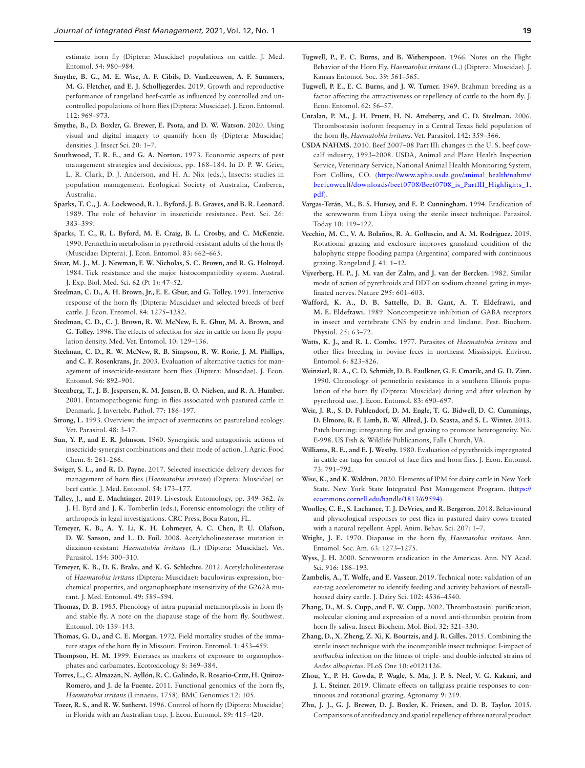estimate horn fly (Diptera: Muscidae) populations on cattle. J. Med. Entomol. 54: 980–984.

- <span id="page-20-2"></span>**Smythe, B. G., M. E. Wise, A. F. Cibils, D. VanLeeuwen, A. F. Summers, M. G. Fletcher, and E. J. Scholljegerdes.** 2019. Growth and reproductive performance of rangeland beef-cattle as influenced by controlled and uncontrolled populations of horn flies (Diptera: Muscidae). J. Econ. Entomol. 112: 969–973.
- <span id="page-20-8"></span>**Smythe, B., D. Boxler, G. Brewer, E. Psota, and D. W. Watson.** 2020. Using visual and digital imagery to quantify horn fly (Diptera: Muscidae) densities. J. Insect Sci. 20: 1–7.
- <span id="page-20-3"></span>**Southwood, T. R. E., and G. A. Norton.** 1973. Economic aspects of pest management strategies and decisions, pp. 168–184. In D. P. W. Geier, L. R. Clark, D. J. Anderson, and H. A. Nix (eds.), Insects: studies in population management. Ecological Society of Australia, Canberra, Australia.
- <span id="page-20-25"></span>**Sparks, T. C., J. A. Lockwood, R. L. Byford, J. B. Graves, and B. R. Leonard.**  1989. The role of behavior in insecticide resistance. Pest. Sci. 26: 383–399.
- <span id="page-20-28"></span>**Sparks, T. C., R. L. Byford, M. E. Craig, B. L. Crosby, and C. McKenzie.**  1990. Permethrin metabolism in pyrethroid-resistant adults of the horn fly (Muscidae: Diptera). J. Econ. Entomol. 83: 662–665.
- <span id="page-20-33"></span>**Stear, M. J., M. J. Newman, F. W. Nicholas, S. C. Brown, and R. G. Holroyd.**  1984. Tick resistance and the major histocompatibility system. Austral. J. Exp. Biol. Med. Sci. 62 (Pt 1): 47–52.
- <span id="page-20-31"></span>**Steelman, C. D., A. H. Brown, Jr., E. E. Gbur, and G. Tolley.** 1991. Interactive response of the horn fly (Diptera: Muscidae) and selected breeds of beef cattle. J. Econ. Entomol. 84: 1275–1282.
- <span id="page-20-32"></span>**Steelman, C. D., C. J. Brown, R. W. McNew, E. E. Gbur, M. A. Brown, and G. Tolley.** 1996. The effects of selection for size in cattle on horn fly population density. Med. Vet. Entomol. 10: 129–136.
- <span id="page-20-9"></span>**Steelman, C. D., R. W. McNew, R. B. Simpson, R. W. Rorie, J. M. Phillips, and C. F. Rosenkrans, Jr**. 2003. Evaluation of alternative tactics for management of insecticide-resistant horn flies (Diptera: Muscidae). J. Econ. Entomol. 96: 892–901.
- <span id="page-20-17"></span>**Steenberg, T., J. B. Jespersen, K. M. Jensen, B. O. Nielsen, and R. A. Humber.**  2001. Entomopathogenic fungi in flies associated with pastured cattle in Denmark. J. Invertebr. Pathol. 77: 186–197.
- <span id="page-20-24"></span>**Strong, L.** 1993. Overview: the impact of avermectins on pastureland ecology. Vet. Parasitol. 48: 3–17.
- <span id="page-20-20"></span>**Sun, Y. P., and E. R. Johnson.** 1960. Synergistic and antagonistic actions of insecticide-synergist combinations and their mode of action. J. Agric. Food Chem. 8: 261–266.
- <span id="page-20-18"></span>**Swiger, S. L., and R. D. Payne.** 2017. Selected insecticide delivery devices for management of horn flies (*Haematobia irritans*) (Diptera: Muscidae) on beef cattle. J. Med. Entomol. 54: 173–177.
- <span id="page-20-4"></span>**Talley, J., and E. Machtinger.** 2019. Livestock Entomology, pp. 349–362. *In* J. H. Byrd and J. K. Tomberlin (eds.), Forensic entomology: the utility of arthropods in legal investigations. CRC Press, Boca Raton, FL.
- <span id="page-20-26"></span>**Temeyer, K. B., A. Y. Li, K. H. Lohmeyer, A. C. Chen, P. U. Olafson, D. W. Sanson, and L. D. Foil.** 2008. Acetylcholinesterase mutation in diazinon-resistant *Haematobia irritans* (L.) (Diptera: Muscidae). Vet. Parasitol. 154: 300–310.
- <span id="page-20-27"></span>**Temeyer, K. B., D. K. Brake, and K. G. Schlechte.** 2012. Acetylcholinesterase of *Haematobia irritans* (Diptera: Muscidae): baculovirus expression, biochemical properties, and organophosphate insensitivity of the G262A mutant. J. Med. Entomol. 49: 589–594.
- <span id="page-20-0"></span>**Thomas, D. B.** 1985. Phenology of intra-puparial metamorphosis in horn fly and stable fly. A note on the diapause stage of the horn fly. Southwest. Entomol. 10: 139–143.
- <span id="page-20-15"></span>**Thomas, G. D., and C. E. Morgan.** 1972. Field mortality studies of the immature stages of the horn fly in Missouri. Environ. Entomol. 1: 453–459.
- <span id="page-20-19"></span>**Thompson, H. M.** 1999. Esterases as markers of exposure to organophosphates and carbamates. Ecotoxicology 8: 369–384.
- <span id="page-20-38"></span>**Torres, L., C. Almazán, N. Ayllón, R. C. Galindo, R. Rosario-Cruz, H. Quiroz-Romero, and J. de la Fuente.** 2011. Functional genomics of the horn fly, *Haematobia irritans* (Linnaeus, 1758). BMC Genomics 12: 105.
- <span id="page-20-13"></span>**Tozer, R. S., and R. W. Sutherst.** 1996. Control of horn fly (Diptera: Muscidae) in Florida with an Australian trap. J. Econ. Entomol. 89: 415–420.
- <span id="page-20-5"></span>**Tugwell, P., E. C. Burns, and B. Witherspoon.** 1966. Notes on the Flight Behavior of the Horn Fly, *Haematobia irritans* (L.) (Diptera: Muscidae). J. Kansas Entomol. Soc. 39: 561–565.
- <span id="page-20-6"></span>**Tugwell, P. E., E. C. Burns, and J. W. Turner.** 1969. Brahman breeding as a factor affecting the attractiveness or repellency of cattle to the horn fly. J. Econ. Entomol. 62: 56–57.
- <span id="page-20-34"></span>**Untalan, P. M., J. H. Pruett, H. N. Atteberry, and C. D. Steelman.** 2006. Thrombostasin isoform frequency in a Central Texas field population of the horn fly, *Haematobia irritans*. Vet. Parasitol. 142: 359–366.
- <span id="page-20-40"></span>**USDA NAHMS.** 2010. Beef 2007–08 Part III: changes in the U. S. beef cowcalf industry, 1993–2008. USDA, Animal and Plant Health Inspection Service, Veterinary Service, National Animal Health Monitoring System, Fort Collins, CO. [\(https://www.aphis.usda.gov/animal\\_health/nahms/](https://www.aphis.usda.gov/animal_health/nahms/beefcowcalf/downloads/beef0708/Beef0708_is_PartIII_Highlights_1.pdf) [beefcowcalf/downloads/beef0708/Beef0708\\_is\\_PartIII\\_Highlights\\_1.](https://www.aphis.usda.gov/animal_health/nahms/beefcowcalf/downloads/beef0708/Beef0708_is_PartIII_Highlights_1.pdf) [pdf\)](https://www.aphis.usda.gov/animal_health/nahms/beefcowcalf/downloads/beef0708/Beef0708_is_PartIII_Highlights_1.pdf).
- <span id="page-20-37"></span>**Vargas-Terán, M., B. S. Hursey, and E. P. Cunningham.** 1994. Eradication of the screwworm from Libya using the sterile insect technique. Parasitol. Today 10: 119–122.
- <span id="page-20-11"></span>**Vecchio, M. C., V. A. Bolaños, R. A. Golluscio, and A. M. Rodríguez.** 2019. Rotational grazing and exclosure improves grassland condition of the halophytic steppe flooding pampa (Argentina) compared with continuous grazing. Rangeland J. 41: 1–12.
- <span id="page-20-21"></span>**Vijverberg, H. P., J. M. van der Zalm, and J. van der Bercken.** 1982. Similar mode of action of pyrethroids and DDT on sodium channel gating in myelinated nerves. Nature 295: 601–603.
- <span id="page-20-29"></span>**Wafford, K. A., D. B. Sattelle, D. B. Gant, A. T. Eldefrawi, and M. E. Eldefrawi.** 1989. Noncompetitive inhibition of GABA receptors in insect and vertebrate CNS by endrin and lindane. Pest. Biochem. Physiol. 25: 63–72.
- <span id="page-20-16"></span>**Watts, K. J., and R. L. Combs.** 1977. Parasites of *Haematobia irritans* and other flies breeding in bovine feces in northeast Mississippi. Environ. Entomol. 6: 823–826.
- <span id="page-20-30"></span>**Weinzierl, R. A., C. D. Schmidt, D. B. Faulkner, G. F. Cmarik, and G. D. Zinn.**  1990. Chronology of permethrin resistance in a southern Illinois population of the horn fly (Diptera: Muscidae) during and after selection by pyrethroid use. J. Econ. Entomol. 83: 690–697.
- <span id="page-20-12"></span>**Weir, J. R., S. D. Fuhlendorf, D. M. Engle, T. G. Bidwell, D. C. Cummings, D. Elmore, R. F. Limb, B. W. Allred, J. D. Scasta, and S. L. Winter.** 2013. Patch burning: integrating fire and grazing to promote heterogeneity. No. E-998. US Fish & Wildlife Publications, Falls Church, VA.
- <span id="page-20-7"></span>**Williams, R. E., and E. J. Westby.** 1980. Evaluation of pyrethroids impregnated in cattle ear tags for control of face flies and horn flies. J. Econ. Entomol. 73: 791–792.
- <span id="page-20-14"></span>**Wise, K., and K. Waldron.** 2020. Elements of IPM for dairy cattle in New York State. New York State Integrated Pest Management Program. [\(https://](https://ecommons.cornell.edu/handle/1813/69594) [ecommons.cornell.edu/handle/1813/69594\)](https://ecommons.cornell.edu/handle/1813/69594).
- <span id="page-20-23"></span>**Woolley, C. E., S. Lachance, T. J. DeVries, and R. Bergeron.** 2018. Behavioural and physiological responses to pest flies in pastured dairy cows treated with a natural repellent. Appl. Anim. Behav. Sci. 207: 1–7.
- <span id="page-20-1"></span>**Wright, J. E.** 1970. Diapause in the horn fly, *Haematobia irritans*. Ann. Entomol. Soc. Am. 63: 1273–1275.
- <span id="page-20-36"></span>**Wyss, J. H.** 2000. Screwworm eradication in the Americas. Ann. NY Acad. Sci. 916: 186–193.
- <span id="page-20-41"></span>**Zambelis, A., T. Wolfe, and E. Vasseur.** 2019. Technical note: validation of an ear-tag accelerometer to identify feeding and activity behaviors of tiestallhoused dairy cattle. J. Dairy Sci. 102: 4536–4540.
- <span id="page-20-35"></span>**Zhang, D., M. S. Cupp, and E. W. Cupp.** 2002. Thrombostasin: purification, molecular cloning and expression of a novel anti-thrombin protein from horn fly saliva. Insect Biochem. Mol. Biol. 32: 321–330.
- <span id="page-20-39"></span>**Zhang, D., X. Zheng, Z. Xi, K. Bourtzis, and J. R. Gilles.** 2015. Combining the sterile insect technique with the incompatible insect technique: I-impact of *wolbachia* infection on the fitness of triple- and double-infected strains of *Aedes albopictus*. PLoS One 10: e0121126.
- <span id="page-20-10"></span>**Zhou, Y., P. H. Gowda, P. Wagle, S. Ma, J. P. S. Neel, V. G. Kakani, and J. L. Steiner.** 2019. Climate effects on tallgrass prairie responses to continuous and rotational grazing. Agronomy 9: 219.
- <span id="page-20-22"></span>**Zhu, J. J., G. J. Brewer, D. J. Boxler, K. Friesen, and D. B. Taylor.** 2015. Comparisons of antifeedancy and spatial repellency of three natural product